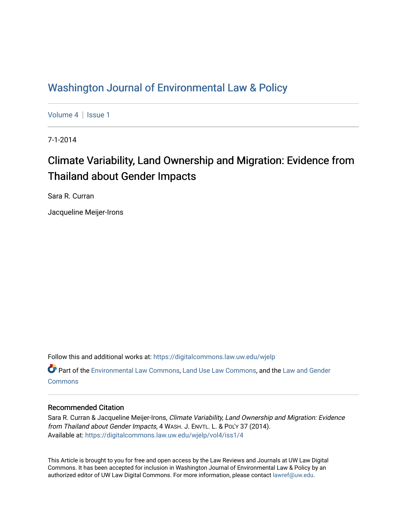# [Washington Journal of Environmental Law & Policy](https://digitalcommons.law.uw.edu/wjelp)

[Volume 4](https://digitalcommons.law.uw.edu/wjelp/vol4) | Issue 1

7-1-2014

# Climate Variability, Land Ownership and Migration: Evidence from Thailand about Gender Impacts

Sara R. Curran

Jacqueline Meijer-Irons

Follow this and additional works at: [https://digitalcommons.law.uw.edu/wjelp](https://digitalcommons.law.uw.edu/wjelp?utm_source=digitalcommons.law.uw.edu%2Fwjelp%2Fvol4%2Fiss1%2F4&utm_medium=PDF&utm_campaign=PDFCoverPages)

Part of the [Environmental Law Commons](http://network.bepress.com/hgg/discipline/599?utm_source=digitalcommons.law.uw.edu%2Fwjelp%2Fvol4%2Fiss1%2F4&utm_medium=PDF&utm_campaign=PDFCoverPages), [Land Use Law Commons,](http://network.bepress.com/hgg/discipline/852?utm_source=digitalcommons.law.uw.edu%2Fwjelp%2Fvol4%2Fiss1%2F4&utm_medium=PDF&utm_campaign=PDFCoverPages) and the [Law and Gender](http://network.bepress.com/hgg/discipline/1298?utm_source=digitalcommons.law.uw.edu%2Fwjelp%2Fvol4%2Fiss1%2F4&utm_medium=PDF&utm_campaign=PDFCoverPages) **[Commons](http://network.bepress.com/hgg/discipline/1298?utm_source=digitalcommons.law.uw.edu%2Fwjelp%2Fvol4%2Fiss1%2F4&utm_medium=PDF&utm_campaign=PDFCoverPages)** 

# Recommended Citation

Sara R. Curran & Jacqueline Meijer-Irons, Climate Variability, Land Ownership and Migration: Evidence from Thailand about Gender Impacts, 4 WASH. J. ENVTL. L. & POL'Y 37 (2014). Available at: [https://digitalcommons.law.uw.edu/wjelp/vol4/iss1/4](https://digitalcommons.law.uw.edu/wjelp/vol4/iss1/4?utm_source=digitalcommons.law.uw.edu%2Fwjelp%2Fvol4%2Fiss1%2F4&utm_medium=PDF&utm_campaign=PDFCoverPages)

This Article is brought to you for free and open access by the Law Reviews and Journals at UW Law Digital Commons. It has been accepted for inclusion in Washington Journal of Environmental Law & Policy by an authorized editor of UW Law Digital Commons. For more information, please contact [lawref@uw.edu.](mailto:lawref@uw.edu)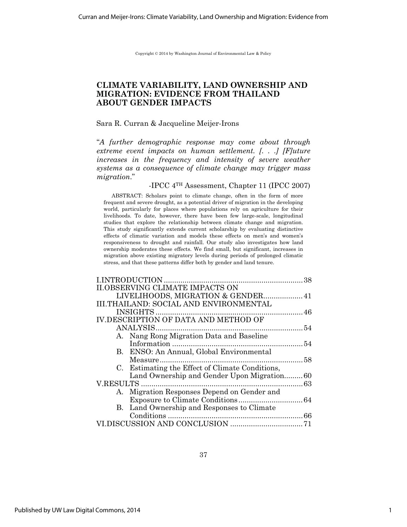Copyright © 2014 by Washington Journal of Environmental Law & Policy

# **CLIMATE VARIABILITY, LAND OWNERSHIP AND MIGRATION: EVIDENCE FROM THAILAND ABOUT GENDER IMPACTS**

#### Sara R. Curran & Jacqueline Meijer-Irons

"*A further demographic response may come about through extreme event impacts on human settlement. [. . .] [F]uture increases in the frequency and intensity of severe weather systems as a consequence of climate change may trigger mass migration*."

# -IPCC 4TH Assessment, Chapter 11 (IPCC 2007)

ABSTRACT: Scholars point to climate change, often in the form of more frequent and severe drought, as a potential driver of migration in the developing world, particularly for places where populations rely on agriculture for their livelihoods. To date, however, there have been few large-scale, longitudinal studies that explore the relationship between climate change and migration. This study significantly extends current scholarship by evaluating distinctive effects of climatic variation and models these effects on men's and women's responsiveness to drought and rainfall. Our study also investigates how land ownership moderates these effects. We find small, but significant, increases in migration above existing migratory levels during periods of prolonged climatic stress, and that these patterns differ both by gender and land tenure.

|                                                 | 38 |
|-------------------------------------------------|----|
| <b>II.OBSERVING CLIMATE IMPACTS ON</b>          |    |
|                                                 |    |
| <b>III.THAILAND: SOCIAL AND ENVIRONMENTAL</b>   |    |
|                                                 |    |
| <b>IV.DESCRIPTION OF DATA AND METHOD OF</b>     |    |
|                                                 |    |
| A. Nang Rong Migration Data and Baseline        |    |
|                                                 |    |
| B. ENSO: An Annual, Global Environmental        |    |
|                                                 |    |
| C. Estimating the Effect of Climate Conditions, |    |
| Land Ownership and Gender Upon Migration60      |    |
|                                                 |    |
| A. Migration Responses Depend on Gender and     |    |
|                                                 |    |
| B. Land Ownership and Responses to Climate      |    |
|                                                 |    |
|                                                 |    |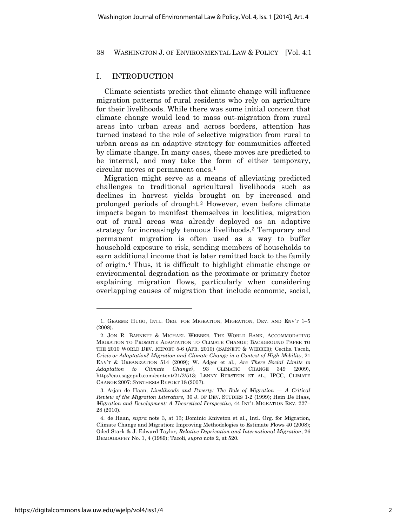## I. INTRODUCTION

Climate scientists predict that climate change will influence migration patterns of rural residents who rely on agriculture for their livelihoods. While there was some initial concern that climate change would lead to mass out-migration from rural areas into urban areas and across borders, attention has turned instead to the role of selective migration from rural to urban areas as an adaptive strategy for communities affected by climate change. In many cases, these moves are predicted to be internal, and may take the form of either temporary, circular moves or permanent ones.<sup>1</sup>

Migration might serve as a means of alleviating predicted challenges to traditional agricultural livelihoods such as declines in harvest yields brought on by increased and prolonged periods of drought.2 However, even before climate impacts began to manifest themselves in localities, migration out of rural areas was already deployed as an adaptive strategy for increasingly tenuous livelihoods.3 Temporary and permanent migration is often used as a way to buffer household exposure to risk, sending members of households to earn additional income that is later remitted back to the family of origin.4 Thus, it is difficult to highlight climatic change or environmental degradation as the proximate or primary factor explaining migration flows, particularly when considering overlapping causes of migration that include economic, social,

<sup>1.</sup> GRAEME HUGO, INTL. ORG. FOR MIGRATION, MIGRATION, DEV. AND ENV'T 1–5 (2008).

<sup>2.</sup> JON R. BARNETT & MICHAEL WEBBER, THE WORLD BANK, ACCOMMODATING MIGRATION TO PROMOTE ADAPTATION TO CLIMATE CHANGE; BACKGROUND PAPER TO THE 2010 WORLD DEV. REPORT 5-6 (APR. 2010) (BARNETT & WEBBER); Cecilia Tacoli, *Crisis or Adaptation? Migration and Climate Change in a Context of High Mobility*, 21 ENV'T & URBANIZATION 514 (2009); W. Adger et al., *Are There Social Limits to Adaptation to Climate Change?*, 93 CLIMATIC CHANGE 349 (2009), http://eau.sagepub.com/content/21/2/513; LENNY BERSTEIN ET AL., IPCC, CLIMATE CHANGE 2007: SYNTHESIS REPORT 18 (2007).

<sup>3.</sup> Arjan de Haan, *Livelihoods and Poverty: The Role of Migration — A Critical Review of the Migration Literature*, 36 J. OF DEV. STUDIES 1-2 (1999); Hein De Haas, *Migration and Development: A Theoretical Perspective*, 44 INT'L MIGRATION REV. 227– 28 (2010).

<sup>4.</sup> de Haan, *supra* note 3, at 13; Dominic Kniveton et al., Intl. Org. for Migration, Climate Change and Migration: Improving Methodologies to Estimate Flows 40 (2008); Oded Stark & J. Edward Taylor, *Relative Deprivation and International Migration*, 26 DEMOGRAPHY No. 1, 4 (1989); Tacoli, *supra* note 2, at 520.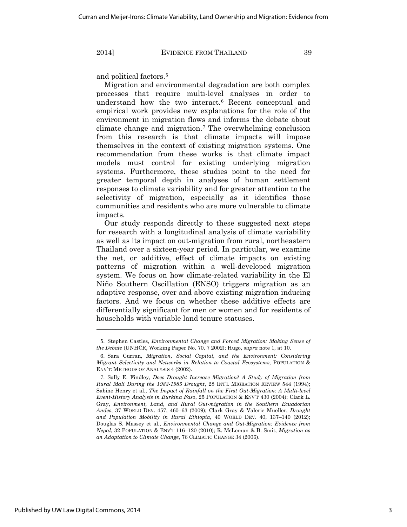and political factors.5

Migration and environmental degradation are both complex processes that require multi-level analyses in order to understand how the two interact.6 Recent conceptual and empirical work provides new explanations for the role of the environment in migration flows and informs the debate about climate change and migration.7 The overwhelming conclusion from this research is that climate impacts will impose themselves in the context of existing migration systems. One recommendation from these works is that climate impact models must control for existing underlying migration systems. Furthermore, these studies point to the need for greater temporal depth in analyses of human settlement responses to climate variability and for greater attention to the selectivity of migration, especially as it identifies those communities and residents who are more vulnerable to climate impacts.

Our study responds directly to these suggested next steps for research with a longitudinal analysis of climate variability as well as its impact on out-migration from rural, northeastern Thailand over a sixteen-year period. In particular, we examine the net, or additive, effect of climate impacts on existing patterns of migration within a well-developed migration system. We focus on how climate-related variability in the El Niño Southern Oscillation (ENSO) triggers migration as an adaptive response, over and above existing migration inducing factors. And we focus on whether these additive effects are differentially significant for men or women and for residents of households with variable land tenure statuses.

 $\overline{a}$ 

<sup>5.</sup> Stephen Castles, *Environmental Change and Forced Migration: Making Sense of the Debate* (UNHCR, Working Paper No. 70, 7 2002); Hugo, *supra* note 1, at 10.

<sup>6.</sup> Sara Curran, *Migration, Social Capital, and the Environment: Considering Migrant Selectivity and Networks in Relation to Coastal Ecosystems*, POPULATION & ENV'T: METHODS OF ANALYSIS 4 (2002).

<sup>7.</sup> Sally E. Findley, *Does Drought Increase Migration? A Study of Migration from Rural Mali During the 1983-1985 Drought*, 28 INT'L MIGRATION REVIEW 544 (1994); Sabine Henry et al., *The Impact of Rainfall on the First Out-Migration: A Multi-level Event-History Analysis in Burkina Faso*, 25 POPULATION & ENV'T 430 (2004); Clark L. Gray, *Environment, Land, and Rural Out-migration in the Southern Ecuadorian Andes*, 37 WORLD DEV. 457, 460–63 (2009); Clark Gray & Valerie Mueller, *Drought and Population Mobility in Rural Ethiopia*, 40 WORLD DEV. 40, 137–140 (2012); Douglas S. Massey et al., *Environmental Change and Out-Migration: Evidence from Nepal*, 32 POPULATION & ENV'T 116–120 (2010); R. McLeman & B. Smit, *Migration as an Adaptation to Climate Change*, 76 CLIMATIC CHANGE 34 (2006).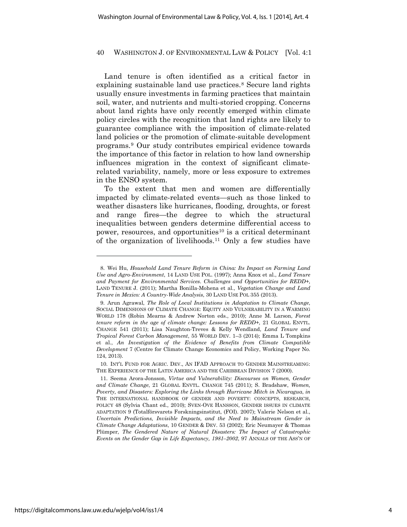Land tenure is often identified as a critical factor in explaining sustainable land use practices.<sup>8</sup> Secure land rights usually ensure investments in farming practices that maintain soil, water, and nutrients and multi-storied cropping. Concerns about land rights have only recently emerged within climate policy circles with the recognition that land rights are likely to guarantee compliance with the imposition of climate-related land policies or the promotion of climate-suitable development programs.9 Our study contributes empirical evidence towards the importance of this factor in relation to how land ownership influences migration in the context of significant climaterelated variability, namely, more or less exposure to extremes in the ENSO system.

To the extent that men and women are differentially impacted by climate-related events—such as those linked to weather disasters like hurricanes, flooding, droughts, or forest and range fires—the degree to which the structural inequalities between genders determine differential access to power, resources, and opportunities<sup>10</sup> is a critical determinant of the organization of livelihoods.11 Only a few studies have

<sup>8.</sup> Wei Hu, *Household Land Tenure Reform in China: Its Impact on Farming Land Use and Agro-Environment*, 14 LAND USE POL. (1997); Anna Knox et al., *Land Tenure and Payment for Environmental Services*. *Challenges and Opportunities for REDD+*, LAND TENURE J. (2011); Martha Bonilla-Mohena et al., *Vegetation Change and Land Tenure in Mexico: A Country-Wide Analysis*, 30 LAND USE POL 355 (2013).

<sup>9.</sup> Arun Agrawal, *The Role of Local Institutions in Adaptation to Climate Change*, SOCIAL DIMENSIONS OF CLIMATE CHANGE: EQUITY AND VULNERABILITY IN A WARMING WORLD 178 (Robin Mearns & Andrew Norton eds., 2010); Anne M. Larson, *Forest tenure reform in the age of climate change: Lessons for REDD+*, 21 GLOBAL ENVTL. CHANGE 541 (2011); Lisa Naughton-Treves & Kelly Wendland, *Land Tenure and Tropical Forest Carbon Management*, 55 WORLD DEV. 1–3 (2014); Emma L Tompkins et al., *An Investigation of the Evidence of Benefits from Climate Compatible Development* 7 (Centre for Climate Change Economics and Policy, Working Paper No. 124, 2013).

<sup>10.</sup> INT'L FUND FOR AGRIC. DEV., AN IFAD APPROACH TO GENDER MAINSTREAMING: THE EXPERIENCE OF THE LATIN AMERICA AND THE CARIBBEAN DIVISION 7 (2000).

<sup>11.</sup> Seema Arora-Jonsson, *Virtue and Vulnerability: Discourses on Women, Gender and Climate Change*, 21 GLOBAL ENVTL. CHANGE 745 (2011); S. Bradshaw, *Women, Poverty, and Disasters: Exploring the Links through Hurricane Mitch in Nicaragua*, *in*  THE INTERNATIONAL HANDBOOK OF GENDER AND POVERTY: CONCEPTS, RESEARCH, POLICY 48 (Sylvia Chant ed., 2010); SVEN-OVE HANSSON, GENDER ISSUES IN CLIMATE ADAPTATION 9 (Totalförsvarets Forskningsinstitut, (FOI). 2007); Valerie Nelson et al., *Uncertain Predictions, Invisible Impacts, and the Need to Mainstream Gender in Climate Change Adaptations*, 10 GENDER & DEV. 53 (2002); Eric Neumayer & Thomas Plümper, *The Gendered Nature of Natural Disasters: The Impact of Catastrophic Events on the Gender Gap in Life Expectancy, 1981–2002*, 97 ANNALS OF THE ASS'N OF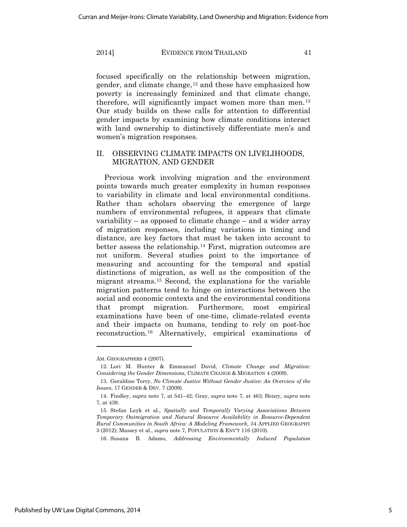focused specifically on the relationship between migration, gender, and climate change, $12$  and these have emphasized how poverty is increasingly feminized and that climate change, therefore, will significantly impact women more than men.<sup>13</sup> Our study builds on these calls for attention to differential gender impacts by examining how climate conditions interact with land ownership to distinctively differentiate men's and women's migration responses.

# II. OBSERVING CLIMATE IMPACTS ON LIVELIHOODS, MIGRATION, AND GENDER

Previous work involving migration and the environment points towards much greater complexity in human responses to variability in climate and local environmental conditions. Rather than scholars observing the emergence of large numbers of environmental refugees, it appears that climate variability – as opposed to climate change – and a wider array of migration responses, including variations in timing and distance, are key factors that must be taken into account to better assess the relationship.14 First, migration outcomes are not uniform. Several studies point to the importance of measuring and accounting for the temporal and spatial distinctions of migration, as well as the composition of the migrant streams.15 Second, the explanations for the variable migration patterns tend to hinge on interactions between the social and economic contexts and the environmental conditions that prompt migration. Furthermore, most empirical examinations have been of one-time, climate-related events and their impacts on humans, tending to rely on post-hoc reconstruction.16 Alternatively, empirical examinations of

AM. GEOGRAPHERS 4 (2007).

<sup>12.</sup> Lori M. Hunter & Emmanuel David, *Climate Change and Migration: Considering the Gender Dimensions*, CLIMATE CHANGE & MIGRATION 4 (2009).

<sup>13.</sup> Geraldine Terry, *No Climate Justice Without Gender Justice: An Overview of the Issues*, 17 GENDER & DEV. 7 (2009).

<sup>14.</sup> Findley, *supra* note 7, at 541–42; Gray, *supra* note 7, at 463; Henry, *supra* note 7, at 439.

<sup>15.</sup> Stefan Leyk et al., *Spatially and Temporally Varying Associations Between Temporary Outmigration and Natural Resource Availability in Resource-Dependent Rural Communities in South Africa: A Modeling Framework*, 34 APPLIED GEOGRAPHY 3 (2012); Massey et al., *supra* note 7, POPULATION & ENV'T 116 (2010).

<sup>16.</sup> Susana B. Adamo, *Addressing Environmentally Induced Population*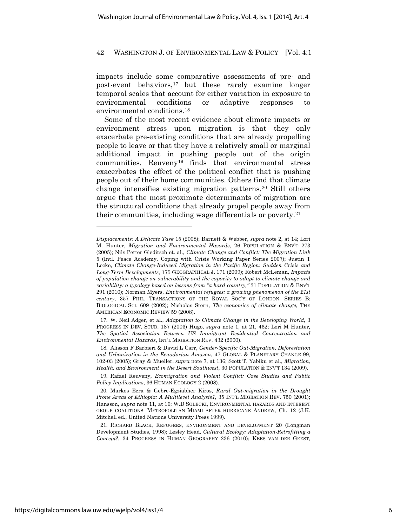impacts include some comparative assessments of pre- and post-event behaviors,17 but these rarely examine longer temporal scales that account for either variation in exposure to environmental conditions or adaptive responses to environmental conditions.18

Some of the most recent evidence about climate impacts or environment stress upon migration is that they only exacerbate pre-existing conditions that are already propelling people to leave or that they have a relatively small or marginal additional impact in pushing people out of the origin communities. Reuveny19 finds that environmental stress exacerbates the effect of the political conflict that is pushing people out of their home communities. Others find that climate change intensifies existing migration patterns.20 Still others argue that the most proximate determinants of migration are the structural conditions that already propel people away from their communities, including wage differentials or poverty.21

*Displacements: A Delicate Task* 15 (2008); Barnett & Webber, *supra* note 2, at 14; Lori M. Hunter, *Migration and Environmental Hazards*, 26 POPULATION & ENV'T 273 (2005); Nils Petter Gleditsch et. al., *Climate Change and Conflict: The Migration Link* 5 (Intl. Peace Academy, Coping with Crisis Working Paper Series 2007); Justin T Locke, *Climate Change-Induced Migration in the Pacific Region: Sudden Crisis and Long-Term Developments*, 175 GEOGRAPHICAL J. 171 (2009); Robert McLeman, *Impacts of population change on vulnerability and the capacity to adapt to climate change and variability: a typology based on lessons from "a hard country,"* 31 POPULATION & ENV'T 291 (2010); Norman Myers, *Environmental refugees: a growing phenomenon of the 21st century*, 357 PHIL. TRANSACTIONS OF THE ROYAL SOC'Y OF LONDON. SERIES B: BIOLOGICAL SCI. 609 (2002); Nicholas Stern, *The economics of climate change*, THE AMERICAN ECONOMIC REVIEW 59 (2008).

<sup>17.</sup> W. Neil Adger, et al., *Adaptation to Climate Change in the Developing World*, 3 PROGRESS IN DEV. STUD. 187 (2003) Hugo, *supra* note 1, at 21, 462; Lori M Hunter, *The Spatial Association Between US Immigrant Residential Concentration and Environmental Hazards*, INT'L MIGRATION REV. 432 (2000).

<sup>18.</sup> Alisson F Barbieri & David L Carr, *Gender-Specific Out-Migration, Deforestation and Urbanization in the Ecuadorian Amazon*, 47 GLOBAL & PLANETARY CHANGE 99, 102-03 (2005); Gray & Mueller, *supra* note 7, at 136; Scott T. Yabiku et al., *Migration, Health, and Environment in the Desert Southwest*, 30 POPULATION & ENV'T 134 (2009).

<sup>19.</sup> Rafael Reuveny, *Ecomigration and Violent Conflict: Case Studies and Public Policy Implications*, 36 HUMAN ECOLOGY 2 (2008).

<sup>20.</sup> Markos Ezra & Gebre-Egziabher Kiros, *Rural Out-migration in the Drought Prone Areas of Ethiopia: A Multilevel Analysis1*, 35 INT'L MIGRATION REV. 750 (2001); Hansson, *supra* note 11, at 16; W.D SOLECKI, ENVIRONMENTAL HAZARDS AND INTEREST GROUP COALITIONS: METROPOLITAN MIAMI AFTER HURRICANE ANDREW, Ch. 12 (J.K. Mitchell ed., United Nations University Press 1999).

<sup>21.</sup> RICHARD BLACK, REFUGEES, ENVIRONMENT AND DEVELOPMENT 20 (Longman Development Studies, 1998); Lesley Head, *Cultural Ecology: Adaptation-Retrofitting a Concept?*, 34 PROGRESS IN HUMAN GEOGRAPHY 236 (2010); KEES VAN DER GEEST,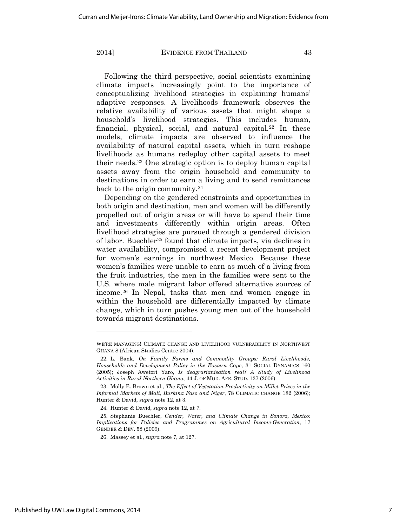Following the third perspective, social scientists examining climate impacts increasingly point to the importance of conceptualizing livelihood strategies in explaining humans' adaptive responses. A livelihoods framework observes the relative availability of various assets that might shape a household's livelihood strategies. This includes human, financial, physical, social, and natural capital.<sup>22</sup> In these models, climate impacts are observed to influence the availability of natural capital assets, which in turn reshape livelihoods as humans redeploy other capital assets to meet their needs.23 One strategic option is to deploy human capital assets away from the origin household and community to destinations in order to earn a living and to send remittances back to the origin community.<sup>24</sup>

Depending on the gendered constraints and opportunities in both origin and destination, men and women will be differently propelled out of origin areas or will have to spend their time and investments differently within origin areas. Often livelihood strategies are pursued through a gendered division of labor. Buechler25 found that climate impacts, via declines in water availability, compromised a recent development project for women's earnings in northwest Mexico. Because these women's families were unable to earn as much of a living from the fruit industries, the men in the families were sent to the U.S. where male migrant labor offered alternative sources of income.26 In Nepal, tasks that men and women engage in within the household are differentially impacted by climate change, which in turn pushes young men out of the household towards migrant destinations.

WE'RE MANAGING! CLIMATE CHANGE AND LIVELIHOOD VULNERABILITY IN NORTHWEST GHANA 8 (African Studies Centre 2004).

<sup>22.</sup> L. Bank, *On Family Farms and Commodity Groups: Rural Livelihoods, Households and Development Policy in the Eastern Cape*, 31 SOCIAL DYNAMICS 160 (2005); Joseph Awetori Yaro, *Is deagrarianisation real? A Study of Livelihood Activities in Rural Northern Ghana*, 44 J. OF MOD. AFR. STUD. 127 (2006).

<sup>23.</sup> Molly E. Brown et al., *The Effect of Vegetation Productivity on Millet Prices in the Informal Markets of Mali, Burkina Faso and Niger*, 78 CLIMATIC CHANGE 182 (2006); Hunter & David, *supra* note 12, at 3.

<sup>24.</sup> Hunter & David, *supra* note 12, at 7.

<sup>25.</sup> Stephanie Buechler, *Gender, Water, and Climate Change in Sonora, Mexico: Implications for Policies and Programmes on Agricultural Income-Generation*, 17 GENDER & DEV. 58 (2009).

<sup>26.</sup> Massey et al., *supra* note 7, at 127.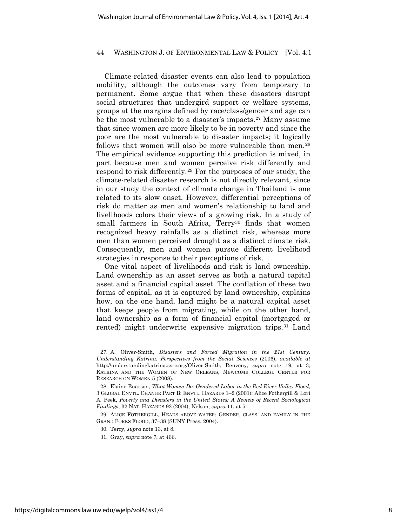Climate-related disaster events can also lead to population mobility, although the outcomes vary from temporary to permanent. Some argue that when these disasters disrupt social structures that undergird support or welfare systems, groups at the margins defined by race/class/gender and age can be the most vulnerable to a disaster's impacts.<sup>27</sup> Many assume that since women are more likely to be in poverty and since the poor are the most vulnerable to disaster impacts; it logically follows that women will also be more vulnerable than men.<sup>28</sup> The empirical evidence supporting this prediction is mixed, in part because men and women perceive risk differently and respond to risk differently.29 For the purposes of our study, the climate-related disaster research is not directly relevant, since in our study the context of climate change in Thailand is one related to its slow onset. However, differential perceptions of risk do matter as men and women's relationship to land and livelihoods colors their views of a growing risk. In a study of small farmers in South Africa, Terry<sup>30</sup> finds that women recognized heavy rainfalls as a distinct risk, whereas more men than women perceived drought as a distinct climate risk. Consequently, men and women pursue different livelihood strategies in response to their perceptions of risk.

One vital aspect of livelihoods and risk is land ownership. Land ownership as an asset serves as both a natural capital asset and a financial capital asset. The conflation of these two forms of capital, as it is captured by land ownership, explains how, on the one hand, land might be a natural capital asset that keeps people from migrating, while on the other hand, land ownership as a form of financial capital (mortgaged or rented) might underwrite expensive migration trips.31 Land

<sup>27.</sup> A. Oliver-Smith, *Disasters and Forced Migration in the 21st Century*. *Understanding Katrina: Perspectives from the Social Sciences* (2006), *available at* http://understandingkatrina.ssrc.org/Oliver-Smith; Reuveny, *supra* note 19, at 3; KATRINA AND THE WOMEN OF NEW ORLEANS, NEWCOMB COLLEGE CENTER FOR RESEARCH ON WOMEN 5 (2008).

<sup>28.</sup> Elaine Enarson, *What Women Do: Gendered Labor in the Red River Valley Flood*, 3 GLOBAL ENVTL. CHANGE PART B: ENVTL. HAZARDS 1–2 (2001); Alice Fothergill & Lori A. Peek, *Poverty and Disasters in the United States: A Review of Recent Sociological Findings*, 32 NAT. HAZARDS 92 (2004); Nelson, *supra* 11, at 51.

<sup>29.</sup> ALICE FOTHERGILL, HEADS ABOVE WATER: GENDER, CLASS, AND FAMILY IN THE GRAND FORKS FLOOD, 37–38 (SUNY Press. 2004).

<sup>30.</sup> Terry, *supra* note 13, at 8.

<sup>31.</sup> Gray, *supra* note 7, at 466.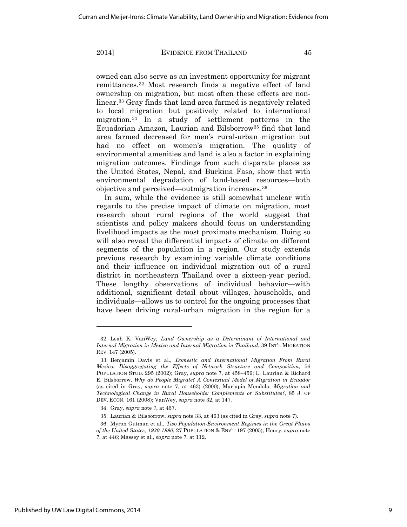owned can also serve as an investment opportunity for migrant remittances.32 Most research finds a negative effect of land ownership on migration, but most often these effects are nonlinear.33 Gray finds that land area farmed is negatively related to local migration but positively related to international migration.34 In a study of settlement patterns in the Ecuadorian Amazon, Laurian and Bilsborrow35 find that land area farmed decreased for men's rural-urban migration but had no effect on women's migration. The quality of environmental amenities and land is also a factor in explaining migration outcomes. Findings from such disparate places as the United States, Nepal, and Burkina Faso, show that with environmental degradation of land-based resources—both objective and perceived—outmigration increases.36

In sum, while the evidence is still somewhat unclear with regards to the precise impact of climate on migration, most research about rural regions of the world suggest that scientists and policy makers should focus on understanding livelihood impacts as the most proximate mechanism. Doing so will also reveal the differential impacts of climate on different segments of the population in a region. Our study extends previous research by examining variable climate conditions and their influence on individual migration out of a rural district in northeastern Thailand over a sixteen-year period. These lengthy observations of individual behavior—with additional, significant detail about villages, households, and individuals—allows us to control for the ongoing processes that have been driving rural-urban migration in the region for a

<sup>32.</sup> Leah K. VanWey, *Land Ownership as a Determinant of International and Internal Migration in Mexico and Internal Migration in Thailand*, 39 INT'L MIGRATION REV. 147 (2005).

<sup>33.</sup> Benjamin Davis et al., *Domestic and International Migration From Rural Mexico: Disaggregating the Effects of Network Structure and Composition*, 56 POPULATION STUD. 295 (2002); Gray, *supra* note 7, at 458–459; L. Laurian & Richard E. Bilsborrow, *Why do People Migrate? A Contextual Model of Migration in Ecuador* (as cited in Gray, *supra* note 7, at 463) (2000); Mariapia Mendola, *Migration and Technological Change in Rural Households: Complements or Substitutes?*, 85 J. OF DEV. ECON. 161 (2008); VanWey, *supra* note 32, at 147.

<sup>34.</sup> Gray, *supra* note 7, at 457.

<sup>35.</sup> Laurian & Bilsborrow, *supra* note 33, at 463 (as cited in Gray, *supra* note 7).

<sup>36.</sup> Myron Gutman et al., *Two Population-Environment Regimes in the Great Plains of the United States, 1930-1990*, 27 POPULATION & ENV'T 197 (2005); Henry, *supra* note 7, at 446; Massey et al., *supra* note 7, at 112.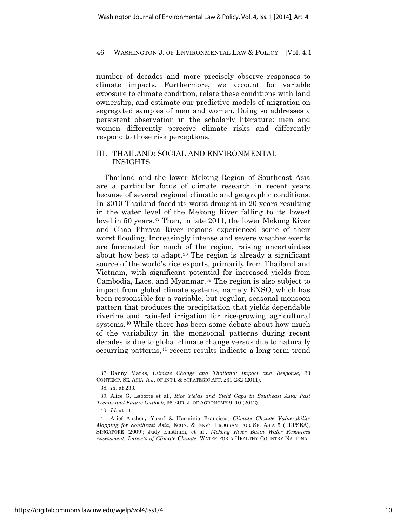number of decades and more precisely observe responses to climate impacts. Furthermore, we account for variable exposure to climate condition, relate these conditions with land ownership, and estimate our predictive models of migration on segregated samples of men and women. Doing so addresses a persistent observation in the scholarly literature: men and women differently perceive climate risks and differently respond to those risk perceptions.

# III. THAILAND: SOCIAL AND ENVIRONMENTAL INSIGHTS

Thailand and the lower Mekong Region of Southeast Asia are a particular focus of climate research in recent years because of several regional climatic and geographic conditions. In 2010 Thailand faced its worst drought in 20 years resulting in the water level of the Mekong River falling to its lowest level in 50 years.37 Then, in late 2011, the lower Mekong River and Chao Phraya River regions experienced some of their worst flooding. Increasingly intense and severe weather events are forecasted for much of the region, raising uncertainties about how best to adapt.38 The region is already a significant source of the world's rice exports, primarily from Thailand and Vietnam, with significant potential for increased yields from Cambodia, Laos, and Myanmar.39 The region is also subject to impact from global climate systems, namely ENSO, which has been responsible for a variable, but regular, seasonal monsoon pattern that produces the precipitation that yields dependable riverine and rain-fed irrigation for rice-growing agricultural systems.<sup>40</sup> While there has been some debate about how much of the variability in the monsoonal patterns during recent decades is due to global climate change versus due to naturally occurring patterns,41 recent results indicate a long-term trend

 $\overline{a}$ 

<sup>37.</sup> Danny Marks, *Climate Change and Thailand: Impact and Response*, 33 CONTEMP. SE. ASIA: A J. OF INT'L & STRATEGIC AFF. 231-232 (2011).

<sup>38.</sup> *Id.* at 233.

<sup>39.</sup> Alice G. Laborte et al., *Rice Yields and Yield Gaps in Southeast Asia: Past Trends and Future Outlook*, 36 EUR. J. OF AGRONOMY 9–10 (2012).

<sup>40.</sup> *Id.* at 11.

<sup>41.</sup> Arief Anshory Yusuf & Herminia Francisco, *Climate Change Vulnerability Mapping for Southeast Asia*, ECON. & ENV'T PROGRAM FOR SE. ASIA 5 (EEPSEA), SINGAPORE (2009); Judy Eastham, et al., *Mekong River Basin Water Resources Assessment: Impacts of Climate Change*, WATER FOR A HEALTHY COUNTRY NATIONAL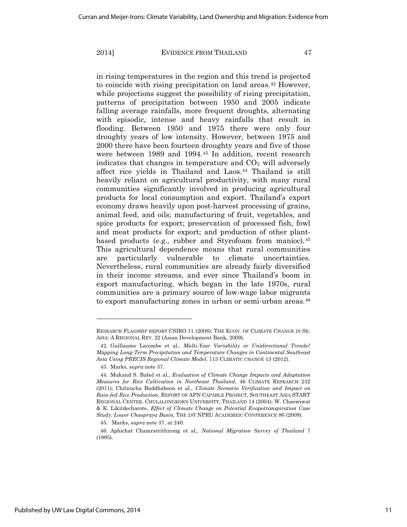in rising temperatures in the region and this trend is projected to coincide with rising precipitation on land areas.42 However, while projections suggest the possibility of rising precipitation, patterns of precipitation between 1950 and 2005 indicate falling average rainfalls, more frequent droughts, alternating with episodic, intense and heavy rainfalls that result in flooding. Between 1950 and 1975 there were only four droughty years of low intensity. However, between 1975 and 2000 there have been fourteen droughty years and five of those were between 1989 and 1994.43 In addition, recent research indicates that changes in temperature and  $CO<sub>2</sub>$  will adversely affect rice yields in Thailand and Laos.<sup>44</sup> Thailand is still heavily reliant on agricultural productivity, with many rural communities significantly involved in producing agricultural products for local consumption and export. Thailand's export economy draws heavily upon post-harvest processing of grains, animal feed, and oils; manufacturing of fruit, vegetables, and spice products for export; preservation of processed fish, fowl and meat products for export; and production of other plantbased products (e.g., rubber and Styrofoam from manioc).<sup>45</sup> This agricultural dependence means that rural communities are particularly vulnerable to climate uncertainties. Nevertheless, rural communities are already fairly diversified in their income streams, and ever since Thailand's boom in export manufacturing, which began in the late 1970s, rural communities are a primary source of low-wage labor migrants to export manufacturing zones in urban or semi-urban areas.<sup>46</sup>

RESEARCH FLAGSHIP REPORT CSIRO 11 (2008); THE ECON. OF CLIMATE CHANGE IN SE. ASIA: A REGIONAL REV. 22 (Asian Development Bank, 2009).

<sup>42.</sup> Guillaume Lacombe et al., *Multi-Year Variability or Unidirectional Trends? Mapping Long-Term Precipitation and Temperature Changes in Continental Southeast Asia Using PRECIS Regional Climate Model*, 113 CLIMATIC CHANGE 13 (2012).

<sup>43.</sup> Marks, *supra* note 37.

<sup>44.</sup> Mukand S. Babel et al., *Evaluation of Climate Change Impacts and Adaptation Measures for Rice Cultivation in Northeast Thailand*, 46 CLIMATE RESEARCH 232 (2011); Chitnucha Buddhaboon et al., *Climate Scenario Verification and Impact on Rain-fed Rice Production*, REPORT OF APN CAPABLE PROJECT, SOUTHEAST ASIA START REGIONAL CENTER, CHULALONGKORN UNIVERSITY, THAILAND 14 (2004); W. Chaowiwat & K. Likitdecharote, *Effect of Climate Change on Potential Evapotranspiration Case Study: Lower Chaopraya Basin*, THE 1ST NPRU ACADEMEIC CONFERENCE 80 (2009).

<sup>45.</sup> Marks, *supra* note 37, at 240.

<sup>46.</sup> Aphichat Chamratrithirong et al., *National Migration Survey of Thailand* 7 (1995).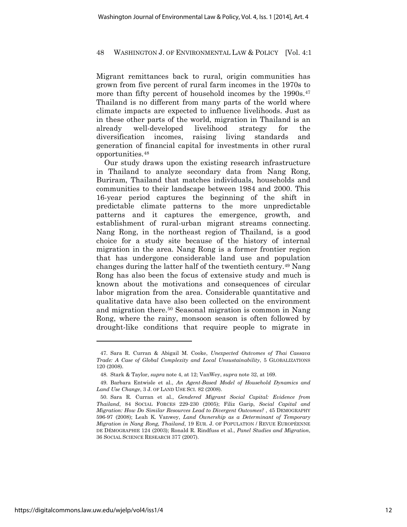Migrant remittances back to rural, origin communities has grown from five percent of rural farm incomes in the 1970s to more than fifty percent of household incomes by the 1990s.<sup>47</sup> Thailand is no different from many parts of the world where climate impacts are expected to influence livelihoods. Just as in these other parts of the world, migration in Thailand is an already well-developed livelihood strategy for the diversification incomes, raising living standards and generation of financial capital for investments in other rural opportunities.48

Our study draws upon the existing research infrastructure in Thailand to analyze secondary data from Nang Rong, Buriram, Thailand that matches individuals, households and communities to their landscape between 1984 and 2000. This 16-year period captures the beginning of the shift in predictable climate patterns to the more unpredictable patterns and it captures the emergence, growth, and establishment of rural-urban migrant streams connecting. Nang Rong, in the northeast region of Thailand, is a good choice for a study site because of the history of internal migration in the area. Nang Rong is a former frontier region that has undergone considerable land use and population changes during the latter half of the twentieth century.49 Nang Rong has also been the focus of extensive study and much is known about the motivations and consequences of circular labor migration from the area. Considerable quantitative and qualitative data have also been collected on the environment and migration there.50 Seasonal migration is common in Nang Rong, where the rainy, monsoon season is often followed by drought-like conditions that require people to migrate in

 $\overline{a}$ 

<sup>47.</sup> Sara R. Curran & Abigail M. Cooke, *Unexpected Outcomes of Thai Cassava Trade: A Case of Global Complexity and Local Unsustainability*, 5 GLOBALIZATIONS 120 (2008).

<sup>48.</sup> Stark & Taylor, *supra* note 4, at 12; VanWey, *supra* note 32, at 169.

<sup>49.</sup> Barbara Entwisle et al., *An Agent-Based Model of Household Dynamics and Land Use Change*, 3 J. OF LAND USE SCI. 82 (2008).

<sup>50.</sup> Sara R. Curran et al., *Gendered Migrant Social Capital: Evidence from Thailand*, 84 SOCIAL FORCES 229-230 (2005); Filiz Garip, *Social Capital and Migration: How Do Similar Resources Lead to Divergent Outcomes?* , 45 DEMOGRAPHY 596-97 (2008); Leah K. Vanwey, *Land Ownership as a Determinant of Temporary Migration in Nang Rong, Thailand*, 19 EUR. J. OF POPULATION / REVUE EUROPÉENNE DE DÉMOGRAPHIE 124 (2003); Ronald R. Rindfuss et al., *Panel Studies and Migration*, 36 SOCIAL SCIENCE RESEARCH 377 (2007).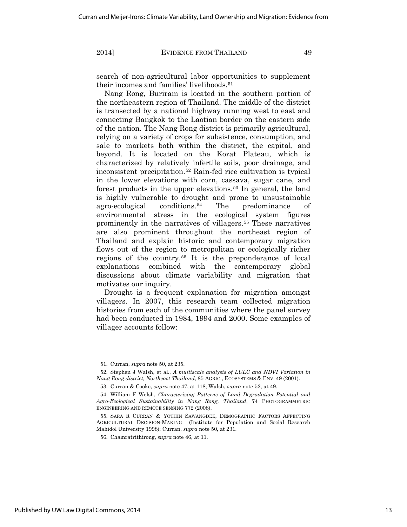search of non-agricultural labor opportunities to supplement their incomes and families' livelihoods.<sup>51</sup>

Nang Rong, Buriram is located in the southern portion of the northeastern region of Thailand. The middle of the district is transected by a national highway running west to east and connecting Bangkok to the Laotian border on the eastern side of the nation. The Nang Rong district is primarily agricultural, relying on a variety of crops for subsistence, consumption, and sale to markets both within the district, the capital, and beyond. It is located on the Korat Plateau, which is characterized by relatively infertile soils, poor drainage, and inconsistent precipitation.52 Rain-fed rice cultivation is typical in the lower elevations with corn, cassava, sugar cane, and forest products in the upper elevations.<sup>53</sup> In general, the land is highly vulnerable to drought and prone to unsustainable agro-ecological conditions.54 The predominance of environmental stress in the ecological system figures prominently in the narratives of villagers.55 These narratives are also prominent throughout the northeast region of Thailand and explain historic and contemporary migration flows out of the region to metropolitan or ecologically richer regions of the country.56 It is the preponderance of local explanations combined with the contemporary global discussions about climate variability and migration that motivates our inquiry.

Drought is a frequent explanation for migration amongst villagers. In 2007, this research team collected migration histories from each of the communities where the panel survey had been conducted in 1984, 1994 and 2000. Some examples of villager accounts follow:

<sup>51.</sup> Curran, *supra* note 50, at 235.

<sup>52.</sup> Stephen J Walsh, et al., *A multiscale analysis of LULC and NDVI Variation in Nang Rong district, Northeast Thailand*, 85 AGRIC., ECOSYSTEMS & ENV. 49 (2001).

<sup>53.</sup> Curran & Cooke, *supra* note 47, at 118; Walsh, *supra* note 52, at 49.

<sup>54.</sup> William F Welsh, *Characterizing Patterns of Land Degradation Potential and Agro-Ecological Sustainability in Nang Rong, Thailand*, 74 PHOTOGRAMMETRIC ENGINEERING AND REMOTE SENSING 772 (2008).

<sup>55.</sup> SARA R CURRAN & YOTHIN SAWANGDEE, DEMOGRAPHIC FACTORS AFFECTING AGRICULTURAL DECISION-MAKING (Institute for Population and Social Research Mahidol University 1998); Curran, *supra* note 50, at 231.

<sup>56.</sup> Chamratrithirong, *supra* note 46, at 11.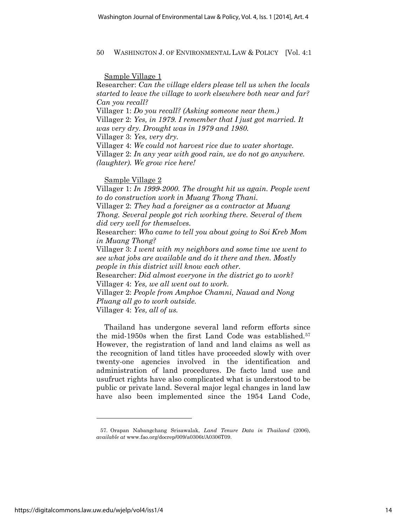Sample Village 1

Researcher: *Can the village elders please tell us when the locals started to leave the village to work elsewhere both near and far? Can you recall?*

Villager 1: *Do you recall? (Asking someone near them.)* Villager 2: *Yes, in 1979. I remember that I just got married. It was very dry. Drought was in 1979 and 1980.*

Villager 3: *Yes, very dry.*

Villager 4: *We could not harvest rice due to water shortage.* Villager 2: *In any year with good rain, we do not go anywhere. (laughter). We grow rice here!*

Sample Village 2

Villager 1: *In 1999-2000. The drought hit us again. People went to do construction work in Muang Thong Thani.*

Villager 2: *They had a foreigner as a contractor at Muang Thong. Several people got rich working there. Several of them did very well for themselves.*

Researcher: *Who came to tell you about going to Soi Kreb Mom in Muang Thong?*

Villager 3: *I went with my neighbors and some time we went to see what jobs are available and do it there and then. Mostly people in this district will know each other.*

Researcher: *Did almost everyone in the district go to work?* Villager 4: *Yes, we all went out to work.*

Villager 2: *People from Amphoe Chamni, Nauad and Nong Pluang all go to work outside.*

Villager 4: *Yes, all of us.*

Thailand has undergone several land reform efforts since the mid-1950s when the first Land Code was established.57 However, the registration of land and land claims as well as the recognition of land titles have proceeded slowly with over twenty-one agencies involved in the identification and administration of land procedures. De facto land use and usufruct rights have also complicated what is understood to be public or private land. Several major legal changes in land law have also been implemented since the 1954 Land Code,

<sup>57.</sup> Orapan Nabangchang Srisawalak, *Land Tenure Data in Thailand* (2006), *available at* www.fao.org/docrep/009/a0306t/A0306T09.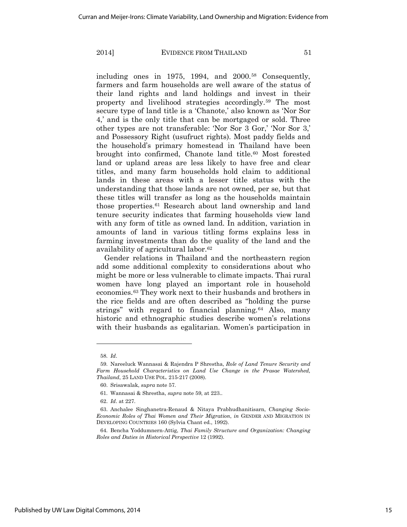including ones in 1975, 1994, and 2000.<sup>58</sup> Consequently, farmers and farm households are well aware of the status of their land rights and land holdings and invest in their property and livelihood strategies accordingly.59 The most secure type of land title is a 'Chanote,' also known as 'Nor Sor 4,' and is the only title that can be mortgaged or sold. Three other types are not transferable: 'Nor Sor 3 Gor,' 'Nor Sor 3,' and Possessory Right (usufruct rights). Most paddy fields and the household's primary homestead in Thailand have been brought into confirmed, Chanote land title.<sup>60</sup> Most forested land or upland areas are less likely to have free and clear titles, and many farm households hold claim to additional lands in these areas with a lesser title status with the understanding that those lands are not owned, per se, but that these titles will transfer as long as the households maintain those properties.61 Research about land ownership and land tenure security indicates that farming households view land with any form of title as owned land. In addition, variation in amounts of land in various titling forms explains less in farming investments than do the quality of the land and the availability of agricultural labor.62

Gender relations in Thailand and the northeastern region add some additional complexity to considerations about who might be more or less vulnerable to climate impacts. Thai rural women have long played an important role in household economies.63 They work next to their husbands and brothers in the rice fields and are often described as "holding the purse strings" with regard to financial planning.<sup>64</sup> Also, many historic and ethnographic studies describe women's relations with their husbands as egalitarian. Women's participation in

<sup>58.</sup> *Id*.

<sup>59.</sup> Nareeluck Wannasai & Rajendra P Shrestha, *Role of Land Tenure Security and Farm Household Characteristics on Land Use Change in the Prasae Watershed, Thailand*, 25 LAND USE POL. 215-217 (2008).

<sup>60.</sup> Srisawalak, *supra* note 57.

<sup>61.</sup> Wannasai & Shrestha, *supra* note 59, at 223..

<sup>62.</sup> *Id*. at 227.

<sup>63.</sup> Anchalee Singhanetra-Renaud & Nitaya Prabhudhanitisarn, *Changing Socio-Economic Roles of Thai Women and Their Migration*, *in* GENDER AND MIGRATION IN DEVELOPING COUNTRIES 160 (Sylvia Chant ed., 1992).

<sup>64.</sup> Bencha Yoddumnern-Attig, *Thai Family Structure and Organization: Changing Roles and Duties in Historical Perspective* 12 (1992).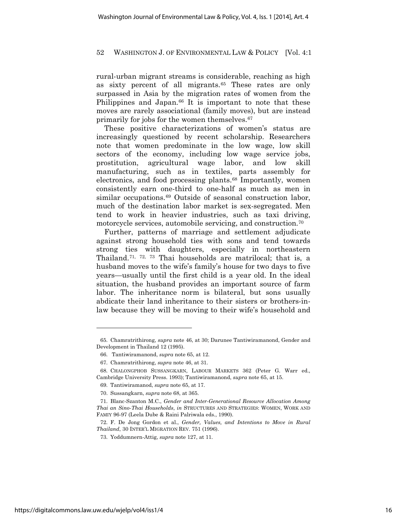rural-urban migrant streams is considerable, reaching as high as sixty percent of all migrants.<sup>65</sup> These rates are only surpassed in Asia by the migration rates of women from the Philippines and Japan.<sup>66</sup> It is important to note that these moves are rarely associational (family moves), but are instead primarily for jobs for the women themselves.<sup>67</sup>

These positive characterizations of women's status are increasingly questioned by recent scholarship. Researchers note that women predominate in the low wage, low skill sectors of the economy, including low wage service jobs, prostitution, agricultural wage labor, and low skill manufacturing, such as in textiles, parts assembly for electronics, and food processing plants.<sup>68</sup> Importantly, women consistently earn one-third to one-half as much as men in similar occupations.<sup>69</sup> Outside of seasonal construction labor, much of the destination labor market is sex-segregated. Men tend to work in heavier industries, such as taxi driving, motorcycle services, automobile servicing, and construction.70

Further, patterns of marriage and settlement adjudicate against strong household ties with sons and tend towards strong ties with daughters, especially in northeastern Thailand.71, 72, 73 Thai households are matrilocal; that is, a husband moves to the wife's family's house for two days to five years—usually until the first child is a year old. In the ideal situation, the husband provides an important source of farm labor. The inheritance norm is bilateral, but sons usually abdicate their land inheritance to their sisters or brothers-inlaw because they will be moving to their wife's household and

<sup>65.</sup> Chamratrithirong, *supra* note 46, at 30; Darunee Tantiwiramanond, Gender and Development in Thailand 12 (1995).

<sup>66.</sup> Tantiwiramanond, *supra* note 65, at 12.

<sup>67.</sup> Chamratrithirong, *supra* note 46, at 31.

<sup>68.</sup> CHALONGPHOB SUSSANGKARN, LABOUR MARKETS 362 (Peter G. Warr ed., Cambridge University Press. 1993); Tantiwiramanond, *supra* note 65, at 15.

<sup>69.</sup> Tantiwiramanod, *supra* note 65, at 17.

<sup>70.</sup> Sussangkarn, *supra* note 68, at 365.

<sup>71.</sup> Blanc-Szanton M.C., *Gender and Inter-Generational Resource Allocation Among Thai an Sino-Thai Households*, *in* STRUCTURES AND STRATEGIES: WOMEN, WORK AND FAMIY 96-97 (Leela Dube & Raini Palriwala eds., 1990).

<sup>72.</sup> F. De Jong Gordon et al., *Gender, Values, and Intentions to Move in Rural Thailand*, 30 INTER'L MIGRATION REV. 751 (1996).

<sup>73.</sup> Yoddumnern-Attig, *supra* note 127, at 11.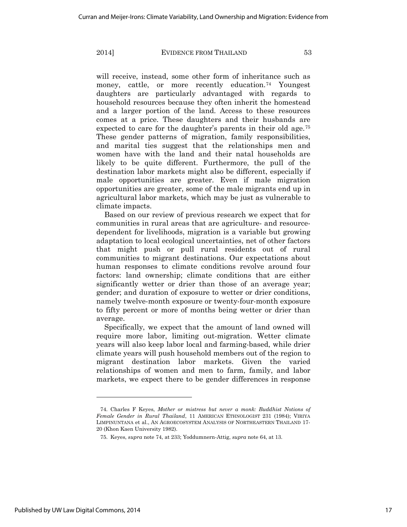will receive, instead, some other form of inheritance such as money, cattle, or more recently education.<sup>74</sup> Youngest daughters are particularly advantaged with regards to household resources because they often inherit the homestead and a larger portion of the land. Access to these resources comes at a price. These daughters and their husbands are expected to care for the daughter's parents in their old age.<sup>75</sup> These gender patterns of migration, family responsibilities, and marital ties suggest that the relationships men and women have with the land and their natal households are likely to be quite different. Furthermore, the pull of the destination labor markets might also be different, especially if male opportunities are greater. Even if male migration opportunities are greater, some of the male migrants end up in agricultural labor markets, which may be just as vulnerable to climate impacts.

Based on our review of previous research we expect that for communities in rural areas that are agriculture- and resourcedependent for livelihoods, migration is a variable but growing adaptation to local ecological uncertainties, net of other factors that might push or pull rural residents out of rural communities to migrant destinations. Our expectations about human responses to climate conditions revolve around four factors: land ownership; climate conditions that are either significantly wetter or drier than those of an average year; gender; and duration of exposure to wetter or drier conditions, namely twelve-month exposure or twenty-four-month exposure to fifty percent or more of months being wetter or drier than average.

Specifically, we expect that the amount of land owned will require more labor, limiting out-migration. Wetter climate years will also keep labor local and farming-based, while drier climate years will push household members out of the region to migrant destination labor markets. Given the varied relationships of women and men to farm, family, and labor markets, we expect there to be gender differences in response

 $\overline{a}$ 

<sup>74.</sup> Charles F Keyes, *Mother or mistress but never a monk: Buddhist Notions of Female Gender in Rural Thailand*, 11 AMERICAN ETHNOLOGIST 231 (1984); VIRIYA LIMPINUNTANA et al., AN AGROECOSYSTEM ANALYSIS OF NORTHEASTERN THAILAND 17- 20 (Khon Kaen University 1982).

<sup>75.</sup> Keyes, *supra* note 74, at 233; Yoddumnern-Attig, *supra* note 64, at 13.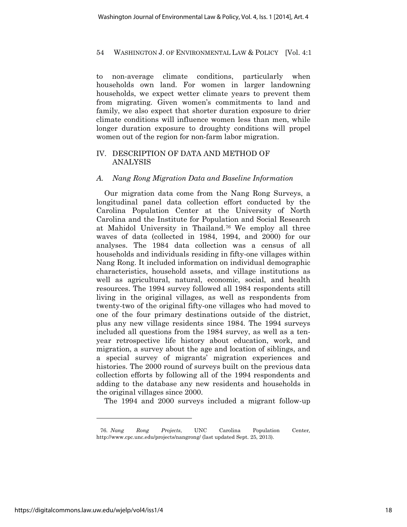to non-average climate conditions, particularly when households own land. For women in larger landowning households, we expect wetter climate years to prevent them from migrating. Given women's commitments to land and family, we also expect that shorter duration exposure to drier climate conditions will influence women less than men, while longer duration exposure to droughty conditions will propel women out of the region for non-farm labor migration.

# IV. DESCRIPTION OF DATA AND METHOD OF ANALYSIS

### *A. Nang Rong Migration Data and Baseline Information*

Our migration data come from the Nang Rong Surveys, a longitudinal panel data collection effort conducted by the Carolina Population Center at the University of North Carolina and the Institute for Population and Social Research at Mahidol University in Thailand.76 We employ all three waves of data (collected in 1984, 1994, and 2000) for our analyses. The 1984 data collection was a census of all households and individuals residing in fifty-one villages within Nang Rong. It included information on individual demographic characteristics, household assets, and village institutions as well as agricultural, natural, economic, social, and health resources. The 1994 survey followed all 1984 respondents still living in the original villages, as well as respondents from twenty-two of the original fifty-one villages who had moved to one of the four primary destinations outside of the district, plus any new village residents since 1984. The 1994 surveys included all questions from the 1984 survey, as well as a tenyear retrospective life history about education, work, and migration, a survey about the age and location of siblings, and a special survey of migrants' migration experiences and histories. The 2000 round of surveys built on the previous data collection efforts by following all of the 1994 respondents and adding to the database any new residents and households in the original villages since 2000.

The 1994 and 2000 surveys included a migrant follow-up

<sup>76.</sup> *Nang Rong Projects*, UNC Carolina Population Center*,*  http://www.cpc.unc.edu/projects/nangrong/ (last updated Sept. 25, 2013).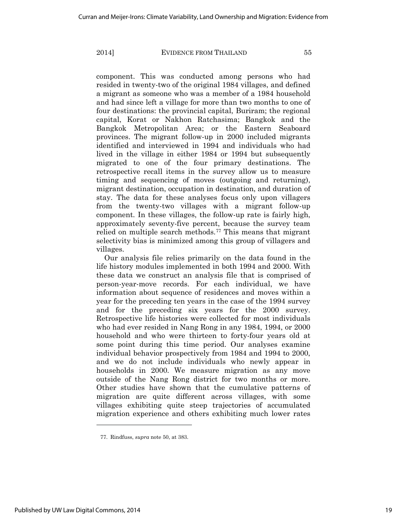component. This was conducted among persons who had resided in twenty-two of the original 1984 villages, and defined a migrant as someone who was a member of a 1984 household and had since left a village for more than two months to one of four destinations: the provincial capital, Buriram; the regional capital, Korat or Nakhon Ratchasima; Bangkok and the Bangkok Metropolitan Area; or the Eastern Seaboard provinces. The migrant follow-up in 2000 included migrants identified and interviewed in 1994 and individuals who had lived in the village in either 1984 or 1994 but subsequently migrated to one of the four primary destinations. The retrospective recall items in the survey allow us to measure timing and sequencing of moves (outgoing and returning), migrant destination, occupation in destination, and duration of stay. The data for these analyses focus only upon villagers from the twenty-two villages with a migrant follow-up component. In these villages, the follow-up rate is fairly high, approximately seventy-five percent, because the survey team relied on multiple search methods.<sup>77</sup> This means that migrant selectivity bias is minimized among this group of villagers and villages.

Our analysis file relies primarily on the data found in the life history modules implemented in both 1994 and 2000. With these data we construct an analysis file that is comprised of person-year-move records. For each individual, we have information about sequence of residences and moves within a year for the preceding ten years in the case of the 1994 survey and for the preceding six years for the 2000 survey. Retrospective life histories were collected for most individuals who had ever resided in Nang Rong in any 1984, 1994, or 2000 household and who were thirteen to forty-four years old at some point during this time period. Our analyses examine individual behavior prospectively from 1984 and 1994 to 2000, and we do not include individuals who newly appear in households in 2000. We measure migration as any move outside of the Nang Rong district for two months or more. Other studies have shown that the cumulative patterns of migration are quite different across villages, with some villages exhibiting quite steep trajectories of accumulated migration experience and others exhibiting much lower rates

 $\overline{a}$ 

<sup>77.</sup> Rindfuss, *supra* note 50, at 383.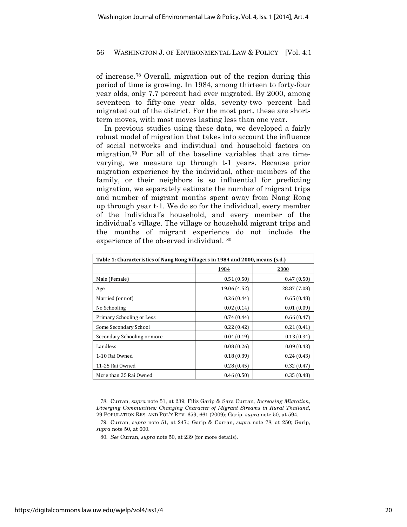of increase.78 Overall, migration out of the region during this period of time is growing. In 1984, among thirteen to forty-four year olds, only 7.7 percent had ever migrated. By 2000, among seventeen to fifty-one year olds, seventy-two percent had migrated out of the district. For the most part, these are shortterm moves, with most moves lasting less than one year.

In previous studies using these data, we developed a fairly robust model of migration that takes into account the influence of social networks and individual and household factors on migration.79 For all of the baseline variables that are timevarying, we measure up through t-1 years. Because prior migration experience by the individual, other members of the family, or their neighbors is so influential for predicting migration, we separately estimate the number of migrant trips and number of migrant months spent away from Nang Rong up through year t-1. We do so for the individual, every member of the individual's household, and every member of the individual's village. The village or household migrant trips and the months of migrant experience do not include the experience of the observed individual. 80

| Table 1: Characteristics of Nang Rong Villagers in 1984 and 2000, means (s.d.) |              |              |  |  |
|--------------------------------------------------------------------------------|--------------|--------------|--|--|
|                                                                                | 1984         | 2000         |  |  |
| Male (Female)                                                                  | 0.51(0.50)   | 0.47(0.50)   |  |  |
| Age                                                                            | 19.06 (4.52) | 28.87 (7.08) |  |  |
| Married (or not)                                                               | 0.26(0.44)   | 0.65(0.48)   |  |  |
| No Schooling                                                                   | 0.02(0.14)   | 0.01(0.09)   |  |  |
| Primary Schooling or Less                                                      | 0.74(0.44)   | 0.66(0.47)   |  |  |
| Some Secondary School                                                          | 0.22(0.42)   | 0.21(0.41)   |  |  |
| Secondary Schooling or more                                                    | 0.04(0.19)   | 0.13(0.34)   |  |  |
| Landless                                                                       | 0.08(0.26)   | 0.09(0.43)   |  |  |
| 1-10 Rai Owned                                                                 | 0.18(0.39)   | 0.24(0.43)   |  |  |
| 11-25 Rai Owned                                                                | 0.28(0.45)   | 0.32(0.47)   |  |  |
| More than 25 Rai Owned                                                         | 0.46(0.50)   | 0.35(0.48)   |  |  |

<sup>78.</sup> Curran, *supra* note 51, at 239; Filiz Garip & Sara Curran, *Increasing Migration, Diverging Communities: Changing Character of Migrant Streams in Rural Thailand*, 29 POPULATION RES. AND POL'Y REV. 659, 661 (2009); Garip, *supra* note 50, at 594.

 $\overline{a}$ 

<sup>79.</sup> Curran, *supra* note 51, at 247.; Garip & Curran, *supra* note 78, at 250; Garip, *supra* note 50, at 600.

<sup>80.</sup> *See* Curran, *supra* note 50, at 239 (for more details).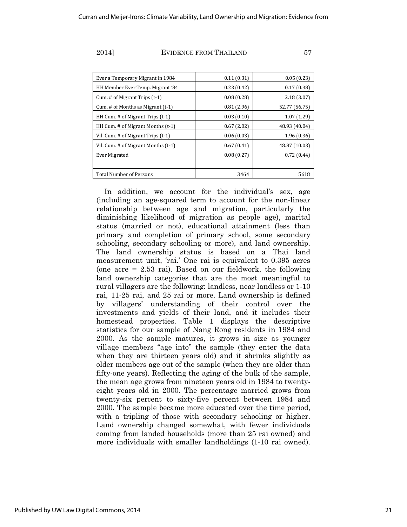| Ever a Temporary Migrant in 1984     | 0.11(0.31) | 0.05(0.23)    |
|--------------------------------------|------------|---------------|
| HH Member Ever Temp. Migrant '84     | 0.23(0.42) | 0.17(0.38)    |
| Cum. # of Migrant Trips (t-1)        | 0.08(0.28) | 2.18(3.07)    |
| Cum. # of Months as Migrant $(t-1)$  | 0.81(2.96) | 52.77 (56.75) |
| HH Cum. $#$ of Migrant Trips $(t-1)$ | 0.03(0.10) | 1.07(1.29)    |
| HH Cum. # of Migrant Months (t-1)    | 0.67(2.02) | 48.93 (40.04) |
| Vil. Cum. # of Migrant Trips (t-1)   | 0.06(0.03) | 1.96(0.36)    |
| Vil. Cum. # of Migrant Months (t-1)  | 0.67(0.41) | 48.87 (10.03) |
| <b>Ever Migrated</b>                 | 0.08(0.27) | 0.72(0.44)    |
|                                      |            |               |
| <b>Total Number of Persons</b>       | 3464       | 5618          |

In addition, we account for the individual's sex, age (including an age-squared term to account for the non-linear relationship between age and migration, particularly the diminishing likelihood of migration as people age), marital status (married or not), educational attainment (less than primary and completion of primary school, some secondary schooling, secondary schooling or more), and land ownership. The land ownership status is based on a Thai land measurement unit, 'rai.' One rai is equivalent to 0.395 acres (one acre = 2.53 rai). Based on our fieldwork, the following land ownership categories that are the most meaningful to rural villagers are the following: landless, near landless or 1-10 rai, 11-25 rai, and 25 rai or more. Land ownership is defined by villagers' understanding of their control over the investments and yields of their land, and it includes their homestead properties. Table 1 displays the descriptive statistics for our sample of Nang Rong residents in 1984 and 2000. As the sample matures, it grows in size as younger village members "age into" the sample (they enter the data when they are thirteen years old) and it shrinks slightly as older members age out of the sample (when they are older than fifty-one years). Reflecting the aging of the bulk of the sample, the mean age grows from nineteen years old in 1984 to twentyeight years old in 2000. The percentage married grows from twenty-six percent to sixty-five percent between 1984 and 2000. The sample became more educated over the time period, with a tripling of those with secondary schooling or higher. Land ownership changed somewhat, with fewer individuals coming from landed households (more than 25 rai owned) and more individuals with smaller landholdings (1-10 rai owned).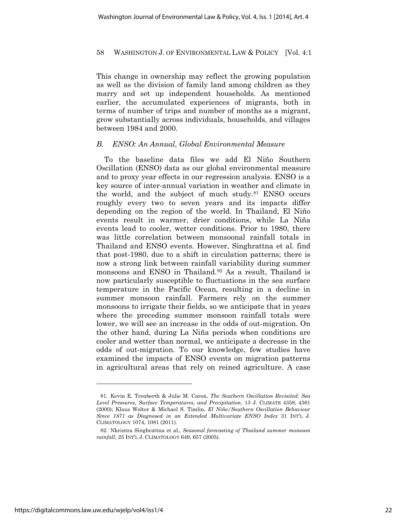This change in ownership may reflect the growing population as well as the division of family land among children as they marry and set up independent households. As mentioned earlier, the accumulated experiences of migrants, both in terms of number of trips and number of months as a migrant, grow substantially across individuals, households, and villages between 1984 and 2000.

### *B. ENSO: An Annual, Global Environmental Measure*

To the baseline data files we add El Niño Southern Oscillation (ENSO) data as our global environmental measure and to proxy year effects in our regression analysis. ENSO is a key source of inter-annual variation in weather and climate in the world, and the subject of much study.81 ENSO occurs roughly every two to seven years and its impacts differ depending on the region of the world. In Thailand, El Niño events result in warmer, drier conditions, while La Niña events lead to cooler, wetter conditions. Prior to 1980, there was little correlation between monsoonal rainfall totals in Thailand and ENSO events. However, Singhrattna et al. find that post-1980, due to a shift in circulation patterns; there is now a strong link between rainfall variability during summer monsoons and ENSO in Thailand.<sup>82</sup> As a result, Thailand is now particularly susceptible to fluctuations in the sea surface temperature in the Pacific Ocean, resulting in a decline in summer monsoon rainfall. Farmers rely on the summer monsoons to irrigate their fields, so we anticipate that in years where the preceding summer monsoon rainfall totals were lower, we will see an increase in the odds of out-migration. On the other hand, during La Niña periods when conditions are cooler and wetter than normal, we anticipate a decrease in the odds of out-migration. To our knowledge, few studies have examined the impacts of ENSO events on migration patterns in agricultural areas that rely on reined agriculture. A case

<sup>81.</sup> Kevin E. Trenberth & Julie M. Caron, *The Southern Oscillation Revisited: Sea Level Pressures, Surface Temperatures, and Precipitation*, 13 J. CLIMATE 4358, 4361 (2000); Klaus Wolter & Michael S. Timlin, *El Niño/Southern Oscillation Behaviour Since 1871 as Diagnosed in an Extended Multivariate ENSO Index* 31 INT'L J. CLIMATOLOGY 1074, 1081 (2011).

<sup>82.</sup> Nkrintra Singhrattna et al., *Seasonal forecasting of Thailand summer monsoon rainfall*, 25 INT'L J. CLIMATOLOGY 649, 657 (2005).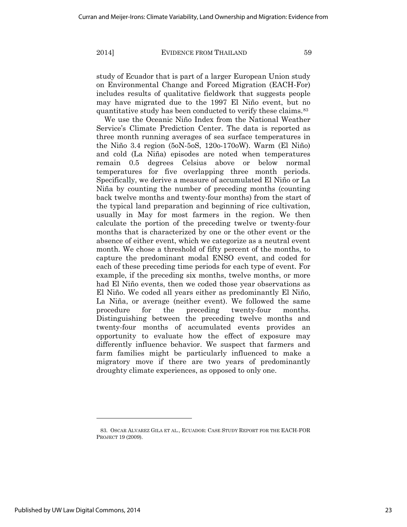study of Ecuador that is part of a larger European Union study on Environmental Change and Forced Migration (EACH-For) includes results of qualitative fieldwork that suggests people may have migrated due to the 1997 El Niño event, but no quantitative study has been conducted to verify these claims.83

We use the Oceanic Niño Index from the National Weather Service's Climate Prediction Center. The data is reported as three month running averages of sea surface temperatures in the Niño 3.4 region (5oN-5oS, 120o-170oW). Warm (El Niño) and cold (La Niña) episodes are noted when temperatures remain 0.5 degrees Celsius above or below normal temperatures for five overlapping three month periods. Specifically, we derive a measure of accumulated El Niño or La Niña by counting the number of preceding months (counting back twelve months and twenty-four months) from the start of the typical land preparation and beginning of rice cultivation, usually in May for most farmers in the region. We then calculate the portion of the preceding twelve or twenty-four months that is characterized by one or the other event or the absence of either event, which we categorize as a neutral event month. We chose a threshold of fifty percent of the months, to capture the predominant modal ENSO event, and coded for each of these preceding time periods for each type of event. For example, if the preceding six months, twelve months, or more had El Niño events, then we coded those year observations as El Niño. We coded all years either as predominantly El Niño, La Niña, or average (neither event). We followed the same procedure for the preceding twenty-four months. Distinguishing between the preceding twelve months and twenty-four months of accumulated events provides an opportunity to evaluate how the effect of exposure may differently influence behavior. We suspect that farmers and farm families might be particularly influenced to make a migratory move if there are two years of predominantly droughty climate experiences, as opposed to only one.

<sup>83.</sup> OSCAR ALVAREZ GILA ET AL., ECUADOR: CASE STUDY REPORT FOR THE EACH-FOR PROJECT 19 (2009).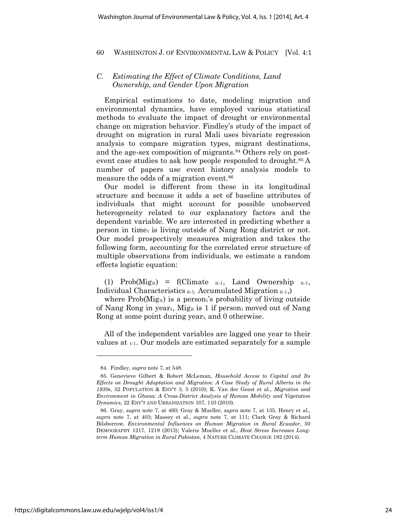# *C. Estimating the Effect of Climate Conditions, Land Ownership, and Gender Upon Migration*

Empirical estimations to date, modeling migration and environmental dynamics, have employed various statistical methods to evaluate the impact of drought or environmental change on migration behavior. Findley's study of the impact of drought on migration in rural Mali uses bivariate regression analysis to compare migration types, migrant destinations, and the age-sex composition of migrants.<sup>84</sup> Others rely on postevent case studies to ask how people responded to drought.<sup>85</sup> A number of papers use event history analysis models to measure the odds of a migration event.86

Our model is different from these in its longitudinal structure and because it adds a set of baseline attributes of individuals that might account for possible unobserved heterogeneity related to our explanatory factors and the dependent variable. We are interested in predicting whether a person in timet is living outside of Nang Rong district or not. Our model prospectively measures migration and takes the following form, accounting for the correlated error structure of multiple observations from individuals, we estimate a random effects logistic equation:

(1)  $Prob(Mig_{it}) = f(Climate_{it-1}, Land Ownership_{it-1},$ Individual Characteristics  $_{it-1}$ , Accumulated Migration  $_{it-1}$ ,)

where  $Prob(Mig_{it})$  is a person<sub>i</sub>'s probability of living outside of Nang Rong in yeart, Migit is 1 if personi moved out of Nang Rong at some point during year<sub>t</sub>, and 0 otherwise.

All of the independent variables are lagged one year to their values at  $_{t-1}$ . Our models are estimated separately for a sample

<sup>84.</sup> Findley, *supra* note 7, at 548.

<sup>85.</sup> Genevieve Gilbert & Robert McLeman, *Household Access to Capital and Its Effects on Drought Adaptation and Migration: A Case Study of Rural Alberta in the 1930s*, 32 POPULATION & ENV'T 3, 5 (2010); K. Van der Geest et al., *Migration and Environment in Ghana: A Cross-District Analysis of Human Mobility and Vegetation Dynamics*, 22 ENV'T AND URBANIZATION 107, 110 (2010).

<sup>86.</sup> Gray, *supra* note 7, at 460; Gray & Mueller, *supra* note 7, at 135. Henry et al., *supra* note 7, at 403; Massey et al., *supra* note 7, at 111; Clark Gray & Richard Bilsborrow, *Environmental Influences on Human Migration in Rural Ecuador*, 50 DEMOGRAPHY 1217, 1219 (2013); Valerie Mueller et al., *Heat Stress Increases Longterm Human Migration in Rural Pakistan*, 4 NATURE CLIMATE CHANGE 182 (2014).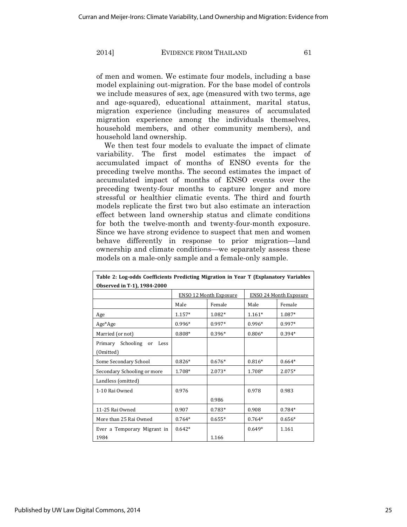of men and women. We estimate four models, including a base model explaining out-migration. For the base model of controls we include measures of sex, age (measured with two terms, age and age-squared), educational attainment, marital status, migration experience (including measures of accumulated migration experience among the individuals themselves, household members, and other community members), and household land ownership.

We then test four models to evaluate the impact of climate variability. The first model estimates the impact of accumulated impact of months of ENSO events for the preceding twelve months. The second estimates the impact of accumulated impact of months of ENSO events over the preceding twenty-four months to capture longer and more stressful or healthier climatic events. The third and fourth models replicate the first two but also estimate an interaction effect between land ownership status and climate conditions for both the twelve-month and twenty-four-month exposure. Since we have strong evidence to suspect that men and women behave differently in response to prior migration—land ownership and climate conditions—we separately assess these models on a male-only sample and a female-only sample.

| Table 2: Log-odds Coefficients Predicting Migration in Year T (Explanatory Variables) |                               |          |                               |          |
|---------------------------------------------------------------------------------------|-------------------------------|----------|-------------------------------|----------|
| Observed in T-1), 1984-2000                                                           |                               |          |                               |          |
|                                                                                       | <b>ENSO 12 Month Exposure</b> |          | <b>ENSO 24 Month Exposure</b> |          |
|                                                                                       | Male                          | Female   | Male                          | Female   |
| Age                                                                                   | $1.157*$                      | 1.082*   | $1.161*$                      | 1.087*   |
| Age*Age                                                                               | $0.996*$                      | 0.997*   | $0.996*$                      | $0.997*$ |
| Married (or not)                                                                      | $0.808*$                      | $0.396*$ | $0.806*$                      | $0.394*$ |
| Primary Schooling or Less                                                             |                               |          |                               |          |
| (Omitted)                                                                             |                               |          |                               |          |
| Some Secondary School                                                                 | $0.826*$                      | $0.676*$ | $0.816*$                      | $0.664*$ |
| Secondary Schooling or more                                                           | 1.708*                        | $2.073*$ | 1.708*                        | $2.075*$ |
| Landless (omitted)                                                                    |                               |          |                               |          |
| 1-10 Rai Owned                                                                        | 0.976                         |          | 0.978                         | 0.983    |
|                                                                                       |                               | 0.986    |                               |          |
| 11-25 Rai Owned                                                                       | 0.907                         | $0.783*$ | 0.908                         | $0.784*$ |
| More than 25 Rai Owned                                                                | $0.764*$                      | $0.655*$ | $0.764*$                      | $0.656*$ |
| Ever a Temporary Migrant in                                                           | $0.642*$                      |          | $0.649*$                      | 1.161    |
| 1984                                                                                  |                               | 1.166    |                               |          |

Published by UW Law Digital Commons, 2014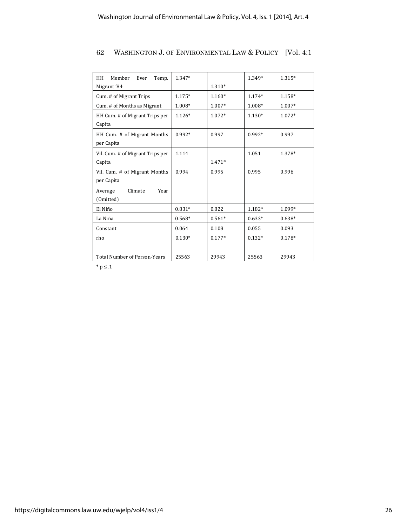| HH<br>Member<br>Ever<br>Temp.       | 1.347*   |          | 1.349*   | 1.315*   |
|-------------------------------------|----------|----------|----------|----------|
| Migrant '84                         |          | $1.310*$ |          |          |
| Cum. # of Migrant Trips             | $1.175*$ | $1.160*$ | $1.174*$ | $1.158*$ |
| Cum. # of Months as Migrant         | 1.008*   | 1.007*   | 1.008*   | 1.007*   |
| HH Cum. # of Migrant Trips per      | $1.126*$ | 1.072*   | $1.130*$ | 1.072*   |
| Capita                              |          |          |          |          |
| HH Cum. # of Migrant Months         | $0.992*$ | 0.997    | $0.992*$ | 0.997    |
| per Capita                          |          |          |          |          |
| Vil. Cum. # of Migrant Trips per    | 1.114    |          | 1.051    | 1.378*   |
| Capita                              |          | 1.471*   |          |          |
| Vil. Cum. # of Migrant Months       | 0.994    | 0.995    | 0.995    | 0.996    |
| per Capita                          |          |          |          |          |
| Climate<br>Year<br>Average          |          |          |          |          |
| (Omitted)                           |          |          |          |          |
| El Niño                             | $0.831*$ | 0.822    | 1.182*   | 1.099*   |
| La Niña                             | $0.568*$ | $0.561*$ | $0.633*$ | $0.638*$ |
| Constant                            | 0.064    | 0.108    | 0.055    | 0.093    |
| rho                                 | $0.130*$ | $0.177*$ | $0.132*$ | $0.178*$ |
|                                     |          |          |          |          |
| <b>Total Number of Person-Years</b> | 25563    | 29943    | 25563    | 29943    |

 $^*$  p  $\leq .1$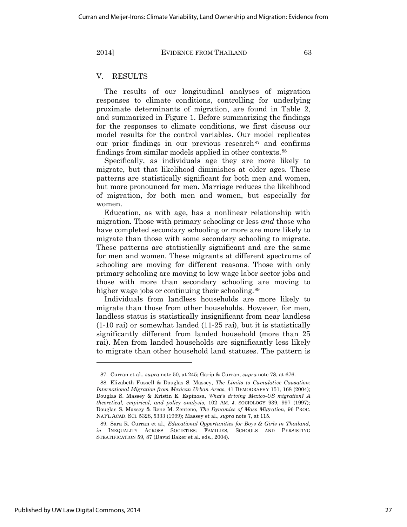# V. RESULTS

The results of our longitudinal analyses of migration responses to climate conditions, controlling for underlying proximate determinants of migration, are found in Table 2, and summarized in Figure 1. Before summarizing the findings for the responses to climate conditions, we first discuss our model results for the control variables. Our model replicates our prior findings in our previous research<sup>87</sup> and confirms findings from similar models applied in other contexts.88

Specifically, as individuals age they are more likely to migrate, but that likelihood diminishes at older ages. These patterns are statistically significant for both men and women, but more pronounced for men. Marriage reduces the likelihood of migration, for both men and women, but especially for women.

Education, as with age, has a nonlinear relationship with migration. Those with primary schooling or less *and* those who have completed secondary schooling or more are more likely to migrate than those with some secondary schooling to migrate. These patterns are statistically significant and are the same for men and women. These migrants at different spectrums of schooling are moving for different reasons. Those with only primary schooling are moving to low wage labor sector jobs and those with more than secondary schooling are moving to higher wage jobs or continuing their schooling.<sup>89</sup>

Individuals from landless households are more likely to migrate than those from other households. However, for men, landless status is statistically insignificant from near landless (1-10 rai) or somewhat landed (11-25 rai), but it is statistically significantly different from landed household (more than 25 rai). Men from landed households are significantly less likely to migrate than other household land statuses. The pattern is

<sup>87.</sup> Curran et al., *supra* note 50, at 245; Garip & Curran, *supra* note 78, at 676.

<sup>88.</sup> Elizabeth Fussell & Douglas S. Massey, *The Limits to Cumulative Causation: International Migration from Mexican Urban Areas*, 41 DEMOGRAPHY 151, 168 (2004); Douglas S. Massey & Kristin E. Espinosa, *What's driving Mexico-US migration? A theoretical, empirical, and policy analysis*, 102 AM. J. SOCIOLOGY 939, 997 (1997); Douglas S. Massey & Rene M. Zenteno, *The Dynamics of Mass Migration*, 96 PROC. NAT'L ACAD. SCI. 5328, 5333 (1999); Massey et al., *supra* note 7, at 115.

<sup>89.</sup> Sara R. Curran et al., *Educational Opportunities for Boys & Girls in Thailand*, *in* INEQUALITY ACROSS SOCIETIES: FAMILIES, SCHOOLS AND PERSISTING STRATIFICATION 59, 87 (David Baker et al. eds., 2004).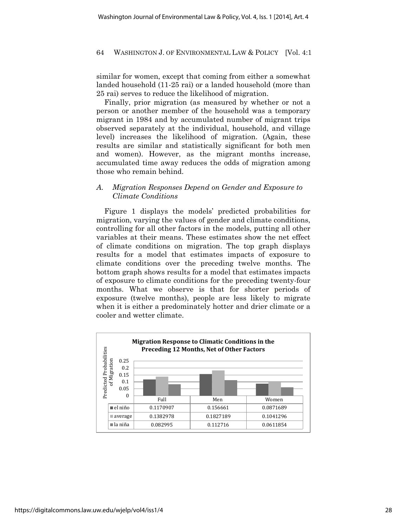similar for women, except that coming from either a somewhat landed household (11-25 rai) or a landed household (more than 25 rai) serves to reduce the likelihood of migration.

Finally, prior migration (as measured by whether or not a person or another member of the household was a temporary migrant in 1984 and by accumulated number of migrant trips observed separately at the individual, household, and village level) increases the likelihood of migration. (Again, these results are similar and statistically significant for both men and women). However, as the migrant months increase, accumulated time away reduces the odds of migration among those who remain behind.

# *A. Migration Responses Depend on Gender and Exposure to Climate Conditions*

Figure 1 displays the models' predicted probabilities for migration, varying the values of gender and climate conditions, controlling for all other factors in the models, putting all other variables at their means. These estimates show the net effect of climate conditions on migration. The top graph displays results for a model that estimates impacts of exposure to climate conditions over the preceding twelve months. The bottom graph shows results for a model that estimates impacts of exposure to climate conditions for the preceding twenty-four months. What we observe is that for shorter periods of exposure (twelve months), people are less likely to migrate when it is either a predominately hotter and drier climate or a cooler and wetter climate.

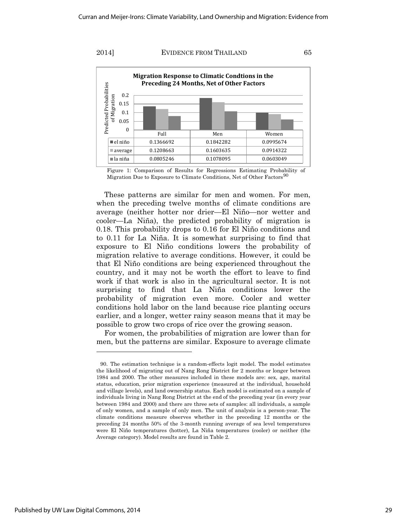

Figure 1: Comparison of Results for Regressions Estimating Probability of Migration Due to Exposure to Climate Conditions, Net of Other Factors<sup>90</sup>

These patterns are similar for men and women. For men, when the preceding twelve months of climate conditions are average (neither hotter nor drier—El Niño—nor wetter and cooler—La Niña), the predicted probability of migration is 0.18. This probability drops to 0.16 for El Niño conditions and to 0.11 for La Niña. It is somewhat surprising to find that exposure to El Niño conditions lowers the probability of migration relative to average conditions. However, it could be that El Niño conditions are being experienced throughout the country, and it may not be worth the effort to leave to find work if that work is also in the agricultural sector. It is not surprising to find that La Niña conditions lower the probability of migration even more. Cooler and wetter conditions hold labor on the land because rice planting occurs earlier, and a longer, wetter rainy season means that it may be possible to grow two crops of rice over the growing season.

For women, the probabilities of migration are lower than for men, but the patterns are similar. Exposure to average climate

<sup>90.</sup> The estimation technique is a random-effects logit model. The model estimates the likelihood of migrating out of Nang Rong District for 2 months or longer between 1984 and 2000. The other measures included in these models are: sex, age, marital status, education, prior migration experience (measured at the individual, household and village levels), and land ownership status. Each model is estimated on a sample of individuals living in Nang Rong District at the end of the preceding year (in every year between 1984 and 2000) and there are three sets of samples: all individuals, a sample of only women, and a sample of only men. The unit of analysis is a person-year. The climate conditions measure observes whether in the preceding 12 months or the preceding 24 months 50% of the 3-month running average of sea level temperatures were El Niño temperatures (hotter), La Niña temperatures (cooler) or neither (the Average category). Model results are found in Table 2.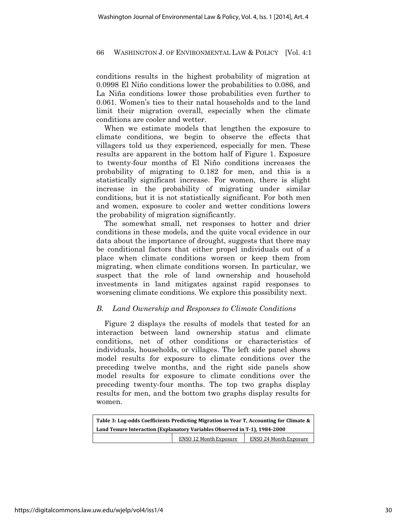conditions results in the highest probability of migration at 0.0998 El Niño conditions lower the probabilities to 0.086, and La Niña conditions lower those probabilities even further to 0.061. Women's ties to their natal households and to the land limit their migration overall, especially when the climate conditions are cooler and wetter.

When we estimate models that lengthen the exposure to climate conditions, we begin to observe the effects that villagers told us they experienced, especially for men. These results are apparent in the bottom half of Figure 1. Exposure to twenty-four months of El Niño conditions increases the probability of migrating to 0.182 for men, and this is a statistically significant increase. For women, there is slight increase in the probability of migrating under similar conditions, but it is not statistically significant. For both men and women, exposure to cooler and wetter conditions lowers the probability of migration significantly.

The somewhat small, net responses to hotter and drier conditions in these models, and the quite vocal evidence in our data about the importance of drought, suggests that there may be conditional factors that either propel individuals out of a place when climate conditions worsen or keep them from migrating, when climate conditions worsen. In particular, we suspect that the role of land ownership and household investments in land mitigates against rapid responses to worsening climate conditions. We explore this possibility next.

# *B. Land Ownership and Responses to Climate Conditions*

Figure 2 displays the results of models that tested for an interaction between land ownership status and climate conditions, net of other conditions or characteristics of individuals, households, or villages. The left side panel shows model results for exposure to climate conditions over the preceding twelve months, and the right side panels show model results for exposure to climate conditions over the preceding twenty-four months. The top two graphs display results for men, and the bottom two graphs display results for women.

| Table 3: Log-odds Coefficients Predicting Migration in Year T, Accounting for Climate & |                               |                               |  |  |
|-----------------------------------------------------------------------------------------|-------------------------------|-------------------------------|--|--|
| Land Tenure Interaction (Explanatory Variables Observed in T-1), 1984-2000              |                               |                               |  |  |
|                                                                                         | <b>ENSO 12 Month Exposure</b> | <b>ENSO 24 Month Exposure</b> |  |  |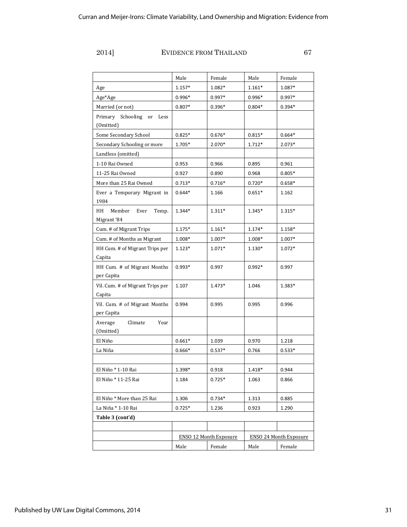|                                              | Male                          | Female   | Male                          | Female   |
|----------------------------------------------|-------------------------------|----------|-------------------------------|----------|
| Age                                          | $1.157*$                      | 1.082*   | $1.161*$                      | 1.087*   |
| Age*Age                                      | $0.996*$                      | $0.997*$ | $0.996*$                      | $0.997*$ |
| Married (or not)                             | $0.807*$                      | $0.396*$ | $0.804*$                      | $0.394*$ |
| Primary Schooling<br>Less<br>or<br>(Omitted) |                               |          |                               |          |
| Some Secondary School                        | $0.825*$                      | $0.676*$ | $0.815*$                      | $0.664*$ |
| Secondary Schooling or more                  | 1.705*                        | 2.070*   | $1.712*$                      | $2.073*$ |
| Landless (omitted)                           |                               |          |                               |          |
| 1-10 Rai Owned                               | 0.953                         | 0.966    | 0.895                         | 0.961    |
| 11-25 Rai Owned                              | 0.927                         | 0.890    | 0.968                         | $0.805*$ |
| More than 25 Rai Owned                       | $0.713*$                      | $0.716*$ | $0.720*$                      | $0.658*$ |
| Ever a Temporary Migrant in<br>1984          | $0.644*$                      | 1.166    | $0.651*$                      | 1.162    |
| HH<br>Member<br>Ever<br>Temp.<br>Migrant '84 | 1.344*                        | 1.311*   | 1.345*                        | 1.315*   |
| Cum. # of Migrant Trips                      | $1.175*$                      | $1.161*$ | $1.174*$                      | 1.158*   |
| Cum. # of Months as Migrant                  | $1.008*$                      | $1.007*$ | 1.008*                        | $1.007*$ |
| HH Cum. # of Migrant Trips per<br>Capita     | $1.123*$                      | 1.071*   | 1.130*                        | $1.072*$ |
| HH Cum. # of Migrant Months<br>per Capita    | $0.993*$                      | 0.997    | $0.992*$                      | 0.997    |
| Vil. Cum. # of Migrant Trips per<br>Capita   | 1.107                         | 1.473*   | 1.046                         | 1.383*   |
| Vil. Cum. # of Migrant Months<br>per Capita  | 0.994                         | 0.995    | 0.995                         | 0.996    |
| Average<br>Climate<br>Year<br>(Omitted)      |                               |          |                               |          |
| El Niño                                      | $0.661*$                      | 1.039    | 0.970                         | 1.218    |
| La Niña                                      | $0.666*$                      | $0.537*$ | 0.766                         | $0.533*$ |
|                                              |                               |          |                               |          |
| El Niño * 1-10 Rai                           | 1.398*                        | 0.918    | $1.418*$                      | 0.944    |
| El Niño * 11-25 Rai                          | 1.184                         | $0.725*$ | 1.063                         | 0.866    |
| El Niño * More than 25 Rai                   | 1.306                         | $0.734*$ | 1.313                         | 0.885    |
| La Niña * 1-10 Rai                           | $0.725*$                      | 1.236    | 0.923                         | 1.290    |
| Table 3 (cont'd)                             |                               |          |                               |          |
|                                              |                               |          |                               |          |
|                                              | <b>ENSO 12 Month Exposure</b> |          | <b>ENSO 24 Month Exposure</b> |          |
|                                              | Male                          | Female   | Male                          | Female   |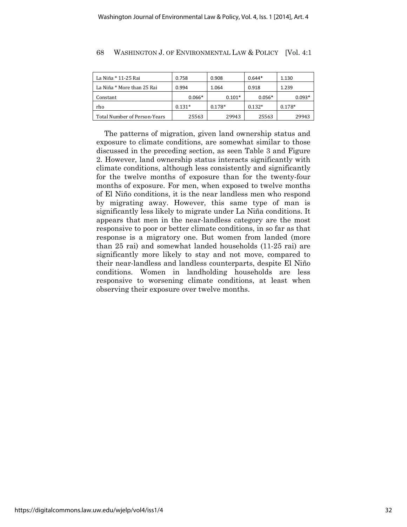| La Niña * 11-25 Rai          | 0.758    | 0.908    | $0.644*$ | 1.130    |
|------------------------------|----------|----------|----------|----------|
| La Niña * More than 25 Rai   | 0.994    | 1.064    | 0.918    | 1.239    |
| Constant                     | $0.066*$ | $0.101*$ | $0.056*$ | $0.093*$ |
| rho                          | $0.131*$ | $0.178*$ | $0.132*$ | $0.178*$ |
| Total Number of Person-Years | 25563    | 29943    | 25563    | 29943    |

The patterns of migration, given land ownership status and exposure to climate conditions, are somewhat similar to those discussed in the preceding section, as seen Table 3 and Figure 2. However, land ownership status interacts significantly with climate conditions, although less consistently and significantly for the twelve months of exposure than for the twenty-four months of exposure. For men, when exposed to twelve months of El Niño conditions, it is the near landless men who respond by migrating away. However, this same type of man is significantly less likely to migrate under La Niña conditions. It appears that men in the near-landless category are the most responsive to poor or better climate conditions, in so far as that response is a migratory one. But women from landed (more than 25 rai) and somewhat landed households (11-25 rai) are significantly more likely to stay and not move, compared to their near-landless and landless counterparts, despite El Niño conditions. Women in landholding households are less responsive to worsening climate conditions, at least when observing their exposure over twelve months.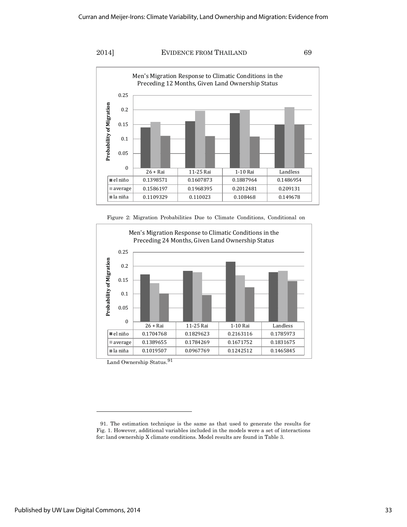

Figure 2: Migration Probabilities Due to Climate Conditions, Conditional on



Land Ownership Status.<sup>91</sup>

<sup>91.</sup> The estimation technique is the same as that used to generate the results for Fig. 1. However, additional variables included in the models were a set of interactions for: land ownership X climate conditions. Model results are found in Table 3.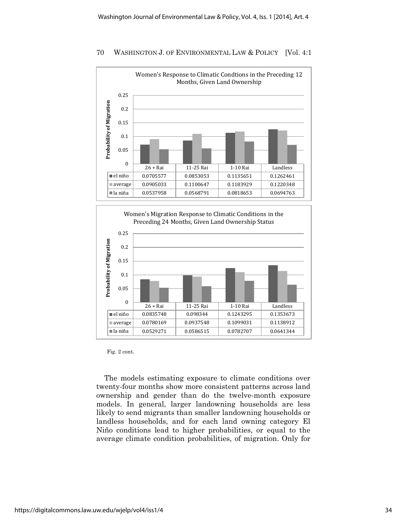



Fig. 2 cont.

The models estimating exposure to climate conditions over twenty-four months show more consistent patterns across land ownership and gender than do the twelve-month exposure models. In general, larger landowning households are less likely to send migrants than smaller landowning households or landless households, and for each land owning category El Niño conditions lead to higher probabilities, or equal to the average climate condition probabilities, of migration. Only for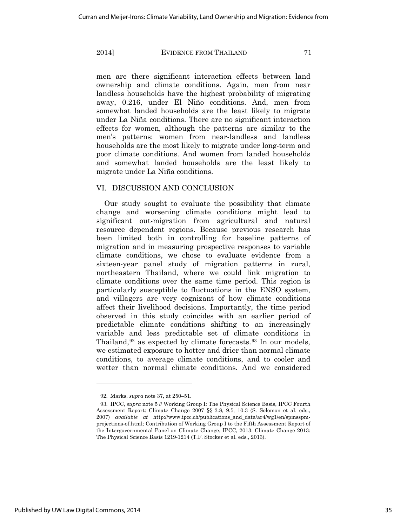men are there significant interaction effects between land ownership and climate conditions. Again, men from near landless households have the highest probability of migrating away, 0.216, under El Niño conditions. And, men from somewhat landed households are the least likely to migrate under La Niña conditions. There are no significant interaction effects for women, although the patterns are similar to the men's patterns: women from near-landless and landless households are the most likely to migrate under long-term and poor climate conditions. And women from landed households and somewhat landed households are the least likely to migrate under La Niña conditions.

# VI. DISCUSSION AND CONCLUSION

Our study sought to evaluate the possibility that climate change and worsening climate conditions might lead to significant out-migration from agricultural and natural resource dependent regions. Because previous research has been limited both in controlling for baseline patterns of migration and in measuring prospective responses to variable climate conditions, we chose to evaluate evidence from a sixteen-year panel study of migration patterns in rural, northeastern Thailand, where we could link migration to climate conditions over the same time period. This region is particularly susceptible to fluctuations in the ENSO system, and villagers are very cognizant of how climate conditions affect their livelihood decisions. Importantly, the time period observed in this study coincides with an earlier period of predictable climate conditions shifting to an increasingly variable and less predictable set of climate conditions in Thailand,<sup>92</sup> as expected by climate forecasts.<sup>93</sup> In our models, we estimated exposure to hotter and drier than normal climate conditions, to average climate conditions, and to cooler and wetter than normal climate conditions. And we considered

<sup>92.</sup> Marks, *supra* note 37, at 250–51.

<sup>93.</sup> IPCC, *supra* note 5 // Working Group I: The Physical Science Basis, IPCC Fourth Assessment Report: Climate Change 2007 §§ 3.8, 9.5, 10.3 (S. Solomon et al. eds., 2007) *available at* http://www.ipcc.ch/publications\_and\_data/ar4/wg1/en/spmsspmprojections-of.html; Contribution of Working Group I to the Fifth Assessment Report of the Intergovernmental Panel on Climate Change, IPCC, 2013: Climate Change 2013: The Physical Science Basis 1219-1214 (T.F. Stocker et al. eds., 2013).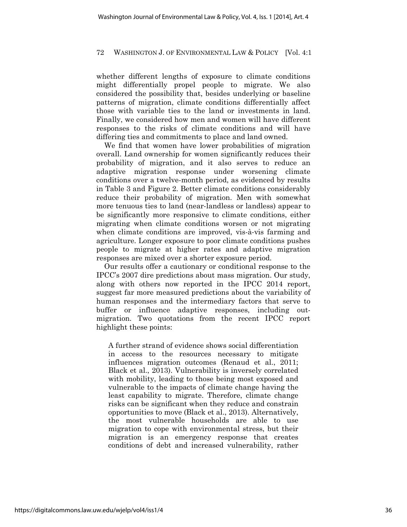whether different lengths of exposure to climate conditions might differentially propel people to migrate. We also considered the possibility that, besides underlying or baseline patterns of migration, climate conditions differentially affect those with variable ties to the land or investments in land. Finally, we considered how men and women will have different responses to the risks of climate conditions and will have differing ties and commitments to place and land owned.

We find that women have lower probabilities of migration overall. Land ownership for women significantly reduces their probability of migration, and it also serves to reduce an adaptive migration response under worsening climate conditions over a twelve-month period, as evidenced by results in Table 3 and Figure 2. Better climate conditions considerably reduce their probability of migration. Men with somewhat more tenuous ties to land (near-landless or landless) appear to be significantly more responsive to climate conditions, either migrating when climate conditions worsen or not migrating when climate conditions are improved, vis-à-vis farming and agriculture. Longer exposure to poor climate conditions pushes people to migrate at higher rates and adaptive migration responses are mixed over a shorter exposure period.

Our results offer a cautionary or conditional response to the IPCC's 2007 dire predictions about mass migration. Our study, along with others now reported in the IPCC 2014 report, suggest far more measured predictions about the variability of human responses and the intermediary factors that serve to buffer or influence adaptive responses, including outmigration. Two quotations from the recent IPCC report highlight these points:

A further strand of evidence shows social differentiation in access to the resources necessary to mitigate influences migration outcomes (Renaud et al., 2011; Black et al., 2013). Vulnerability is inversely correlated with mobility, leading to those being most exposed and vulnerable to the impacts of climate change having the least capability to migrate. Therefore, climate change risks can be significant when they reduce and constrain opportunities to move (Black et al., 2013). Alternatively, the most vulnerable households are able to use migration to cope with environmental stress, but their migration is an emergency response that creates conditions of debt and increased vulnerability, rather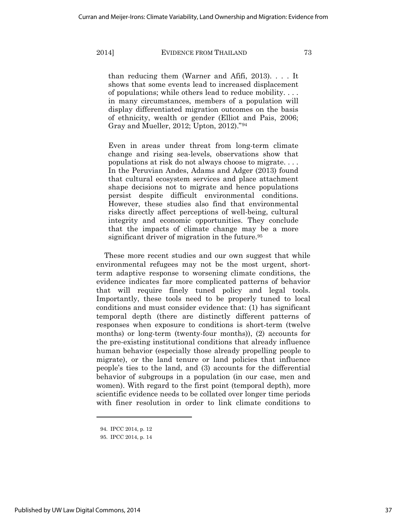than reducing them (Warner and Afifi, 2013). . . . It shows that some events lead to increased displacement of populations; while others lead to reduce mobility. . . . in many circumstances, members of a population will display differentiated migration outcomes on the basis of ethnicity, wealth or gender (Elliot and Pais, 2006; Gray and Mueller, 2012; Upton, 2012)."94

Even in areas under threat from long-term climate change and rising sea-levels, observations show that populations at risk do not always choose to migrate. . . . In the Peruvian Andes, Adams and Adger (2013) found that cultural ecosystem services and place attachment shape decisions not to migrate and hence populations persist despite difficult environmental conditions. However, these studies also find that environmental risks directly affect perceptions of well-being, cultural integrity and economic opportunities. They conclude that the impacts of climate change may be a more significant driver of migration in the future.<sup>95</sup>

These more recent studies and our own suggest that while environmental refugees may not be the most urgent, shortterm adaptive response to worsening climate conditions, the evidence indicates far more complicated patterns of behavior that will require finely tuned policy and legal tools. Importantly, these tools need to be properly tuned to local conditions and must consider evidence that: (1) has significant temporal depth (there are distinctly different patterns of responses when exposure to conditions is short-term (twelve months) or long-term (twenty-four months)), (2) accounts for the pre-existing institutional conditions that already influence human behavior (especially those already propelling people to migrate), or the land tenure or land policies that influence people's ties to the land, and (3) accounts for the differential behavior of subgroups in a population (in our case, men and women). With regard to the first point (temporal depth), more scientific evidence needs to be collated over longer time periods with finer resolution in order to link climate conditions to

 $\overline{a}$ 

<sup>94.</sup> IPCC 2014, p. 12

<sup>95.</sup> IPCC 2014, p. 14